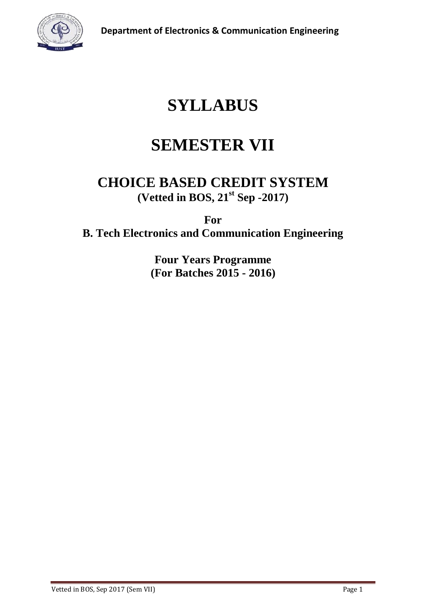

# **SYLLABUS**

# **SEMESTER VII**

# **CHOICE BASED CREDIT SYSTEM (Vetted in BOS, 21st Sep -2017)**

**For B. Tech Electronics and Communication Engineering**

> **Four Years Programme (For Batches 2015 - 2016)**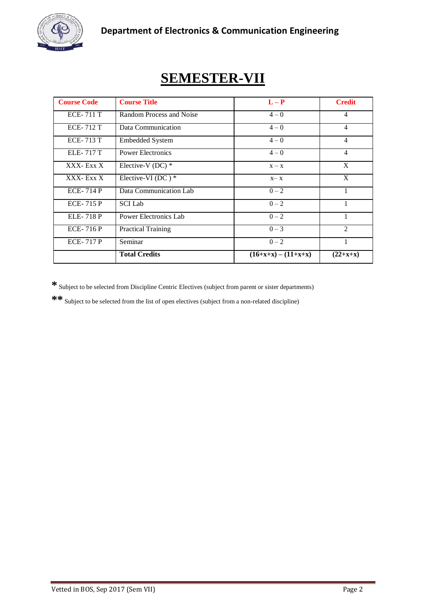

# **SEMESTER-VII**

| <b>Course Code</b> | <b>Course Title</b>          | $L - P$               | <b>Credit</b>  |
|--------------------|------------------------------|-----------------------|----------------|
| <b>ECE-711 T</b>   | Random Process and Noise     | $4 - 0$               | $\overline{4}$ |
| <b>ECE-712 T</b>   | Data Communication           | $4 - 0$               | $\overline{4}$ |
| <b>ECE-713 T</b>   | <b>Embedded System</b>       | $4 - 0$               | 4              |
| <b>ELE-717 T</b>   | <b>Power Electronics</b>     | $4 - 0$               | $\overline{4}$ |
| XXX- Exx X         | Elective-V (DC) $*$          | $X - X$               | X              |
| XXX- Exx X         | Elective-VI (DC) $*$         | $X - X$               | X              |
| <b>ECE-714 P</b>   | Data Communication Lab       | $0 - 2$               | 1              |
| <b>ECE-715 P</b>   | <b>SCI</b> Lab               | $0 - 2$               | 1              |
| <b>ELE-718 P</b>   | <b>Power Electronics Lab</b> | $0 - 2$               | 1              |
| <b>ECE-716 P</b>   | <b>Practical Training</b>    | $0 - 3$               | $\overline{2}$ |
| <b>ECE-717 P</b>   | Seminar                      | $0 - 2$               |                |
|                    | <b>Total Credits</b>         | $(16+x+x) - (11+x+x)$ | $(22+x+x)$     |

**\*** Subject to be selected from Discipline Centric Electives (subject from parent or sister departments)

**\*\*** Subject to be selected from the list of open electives (subject from a non-related discipline)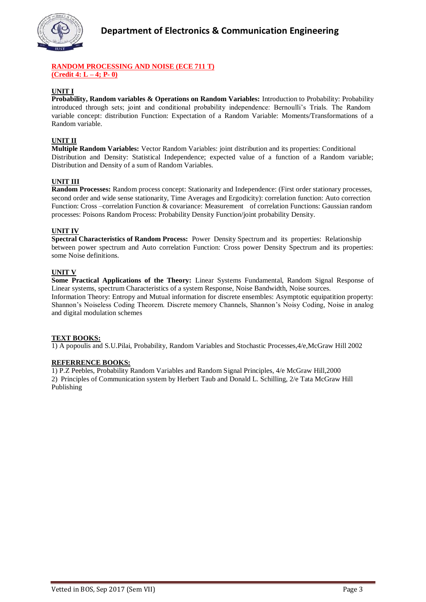

#### **RANDOM PROCESSING AND NOISE (ECE 711 T) (Credit 4: L – 4; P- 0)**

#### **UNIT I**

**Probability, Random variables & Operations on Random Variables:** Introduction to Probability: Probability introduced through sets; joint and conditional probability independence: Bernoulli's Trials. The Random variable concept: distribution Function: Expectation of a Random Variable: Moments/Transformations of a Random variable.

#### **UNIT II**

**Multiple Random Variables:** Vector Random Variables: joint distribution and its properties: Conditional Distribution and Density: Statistical Independence; expected value of a function of a Random variable; Distribution and Density of a sum of Random Variables.

#### **UNIT III**

**Random Processes:** Random process concept: Stationarity and Independence: (First order stationary processes, second order and wide sense stationarity, Time Averages and Ergodicity): correlation function: Auto correction Function: Cross –correlation Function & covariance: Measurement of correlation Functions: Gaussian random processes: Poisons Random Process: Probability Density Function/joint probability Density.

#### **UNIT IV**

**Spectral Characteristics of Random Process:** Power Density Spectrum and its properties: Relationship between power spectrum and Auto correlation Function: Cross power Density Spectrum and its properties: some Noise definitions.

#### **UNIT V**

**Some Practical Applications of the Theory:** Linear Systems Fundamental, Random Signal Response of Linear systems, spectrum Characteristics of a system Response, Noise Bandwidth, Noise sources. Information Theory: Entropy and Mutual information for discrete ensembles: Asymptotic equipatition property: Shannon's Noiseless Coding Theorem. Discrete memory Channels, Shannon's Noisy Coding, Noise in analog and digital modulation schemes

#### **TEXT BOOKS:**

1) A popoulis and S.U.Pilai, Probability, Random Variables and Stochastic Processes,4/e,McGraw Hill 2002

#### **REFERRENCE BOOKS:**

1) P.Z Peebles, Probability Random Variables and Random Signal Principles, 4/e McGraw Hill,2000 2) Principles of Communication system by Herbert Taub and Donald L. Schilling, 2/e Tata McGraw Hill Publishing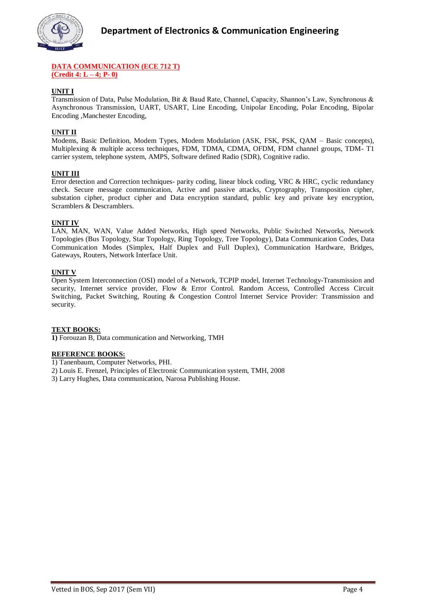

#### **DATA COMMUNICATION (ECE 712 T) (Credit 4: L – 4; P- 0)**

#### **UNIT I**

Transmission of Data, Pulse Modulation, Bit & Baud Rate, Channel, Capacity, Shannon's Law, Synchronous & Asynchronous Transmission, UART, USART, Line Encoding, Unipolar Encoding, Polar Encoding, Bipolar Encoding ,Manchester Encoding,

#### **UNIT II**

Modems, Basic Definition, Modem Types, Modem Modulation (ASK, FSK, PSK, QAM – Basic concepts), Multiplexing & multiple access techniques, FDM, TDMA, CDMA, OFDM, FDM channel groups, TDM- T1 carrier system, telephone system, AMPS, Software defined Radio (SDR), Cognitive radio.

#### **UNIT III**

Error detection and Correction techniques- parity coding, linear block coding, VRC & HRC, cyclic redundancy check. Secure message communication, Active and passive attacks, Cryptography, Transposition cipher, substation cipher, product cipher and Data encryption standard, public key and private key encryption, Scramblers & Descramblers.

#### **UNIT IV**

LAN, MAN, WAN, Value Added Networks, High speed Networks, Public Switched Networks, Network Topologies (Bus Topology, Star Topology, Ring Topology, Tree Topology), Data Communication Codes, Data Communication Modes (Simplex, Half Duplex and Full Duplex), Communication Hardware, Bridges, Gateways, Routers, Network Interface Unit.

#### **UNIT V**

Open System Interconnection (OSI) model of a Network, TCPIP model, Internet Technology-Transmission and security, Internet service provider, Flow & Error Control. Random Access, Controlled Access Circuit Switching, Packet Switching, Routing & Congestion Control Internet Service Provider: Transmission and security.

#### **TEXT BOOKS:**

**1)** Forouzan B, Data communication and Networking, TMH

#### **REFERENCE BOOKS:**

1) Tanenbaum, Computer Networks, PHI.

- 2) Louis E. Frenzel, Principles of Electronic Communication system, TMH, 2008
- 3) Larry Hughes, Data communication, Narosa Publishing House.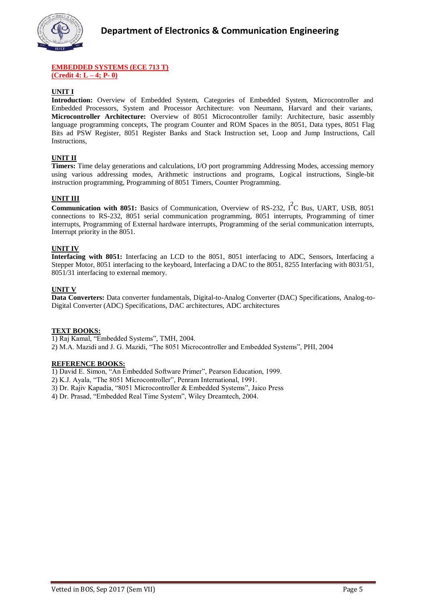

#### **EMBEDDED SYSTEMS (ECE 713 T) (Credit 4: L – 4; P- 0)**

#### **UNIT I**

**Introduction:** Overview of Embedded System, Categories of Embedded System, Microcontroller and Embedded Processors, System and Processor Architecture: von Neumann, Harvard and their variants, **Microcontroller Architecture:** Overview of 8051 Microcontroller family: Architecture, basic assembly language programming concepts, The program Counter and ROM Spaces in the 8051, Data types, 8051 Flag Bits ad PSW Register, 8051 Register Banks and Stack Instruction set, Loop and Jump Instructions, Call Instructions,

#### **UNIT II**

**Timers:** Time delay generations and calculations, I/O port programming Addressing Modes, accessing memory using various addressing modes, Arithmetic instructions and programs, Logical instructions, Single-bit instruction programming, Programming of 8051 Timers, Counter Programming.

#### **UNIT III**

**Communication with 8051:** Basics of Communication, Overview of RS-232, I<sup>2</sup>C Bus, UART, USB, 8051 connections to RS-232, 8051 serial communication programming, 8051 interrupts, Programming of timer interrupts, Programming of External hardware interrupts, Programming of the serial communication interrupts, Interrupt priority in the 8051.

#### **UNIT IV**

**Interfacing with 8051:** Interfacing an LCD to the 8051, 8051 interfacing to ADC, Sensors, Interfacing a Stepper Motor, 8051 interfacing to the keyboard, Interfacing a DAC to the 8051, 8255 Interfacing with 8031/51, 8051/31 interfacing to external memory.

#### **UNIT V**

**Data Converters:** Data converter fundamentals, Digital-to-Analog Converter (DAC) Specifications, Analog-to-Digital Converter (ADC) Specifications, DAC architectures, ADC architectures

#### **TEXT BOOKS:**

1) Raj Kamal, "Embedded Systems", TMH, 2004.

2) M.A. Mazidi and J. G. Mazidi, "The 8051 Microcontroller and Embedded Systems", PHI, 2004

#### **REFERENCE BOOKS:**

1) David E. Simon, "An Embedded Software Primer", Pearson Education, 1999.

2) K.J. Ayala, "The 8051 Microcontroller", Penram International, 1991.

3) Dr. Rajiv Kapadia, "8051 Microcontroller & Embedded Systems", Jaico Press

4) Dr. Prasad, "Embedded Real Time System", Wiley Dreamtech, 2004.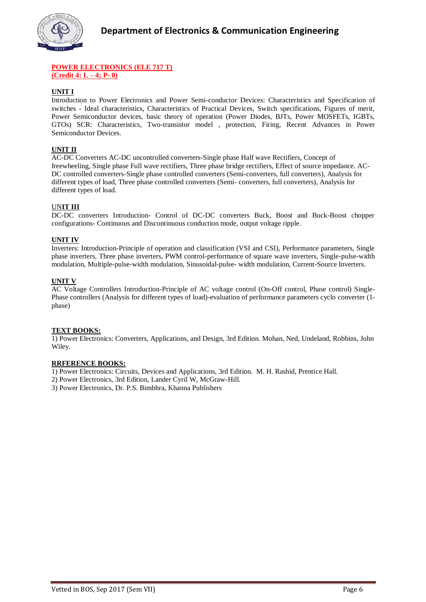

#### **POWER ELECTRONICS (ELE 717 T) (Credit 4: L – 4; P- 0)**

#### **UNIT I**

Introduction to Power Electronics and Power Semi-conductor Devices: Characteristics and Specification of switches - Ideal characteristics, Characteristics of Practical Devices, Switch specifications, Figures of merit, Power Semiconductor devices, basic theory of operation (Power Diodes, BJTs, Power MOSFETs, IGBTs, GTOs) SCR: Characteristics, Two-transistor model , protection, Firing, Recent Advances in Power Semiconductor Devices.

#### **UNIT II**

AC-DC Converters AC-DC uncontrolled converters-Single phase Half wave Rectifiers, Concept of freewheeling, Single phase Full wave rectifiers, Three phase bridge rectifiers, Effect of source impedance. AC-DC controlled converters-Single phase controlled converters (Semi-converters, full converters), Analysis for different types of load, Three phase controlled converters (Semi- converters, full converters), Analysis for different types of load.

#### UN**IT III**

DC-DC converters Introduction- Control of DC-DC converters Buck, Boost and Buck-Boost chopper configurations- Continuous and Discontinuous conduction mode, output voltage ripple.

#### **UNIT IV**

Inverters: Introduction-Principle of operation and classification (VSI and CSI), Performance parameters, Single phase inverters, Three phase inverters, PWM control-performance of square wave inverters, Single-pulse-width modulation, Multiple-pulse-width modulation, Sinusoidal-pulse- width modulation, Current-Source Inverters.

#### **UNIT V**

AC Voltage Controllers Introduction-Principle of AC voltage control (On-Off control, Phase control) Single-Phase controllers (Analysis for different types of load)-evaluation of performance parameters cyclo converter (1 phase)

#### **TEXT BOOKS:**

1) Power Electronics: Converters, Applications, and Design, 3rd Edition. Mohan, Ned, Undeland, Robbins, John Wiley.

#### **RRFERENCE BOOKS:**

1) Power Electronics: Circuits, Devices and Applications, 3rd Edition. M. H. Rashid, Prentice Hall.

- 2) Power Electronics, 3rd Edition, Lander Cyril W, McGraw-Hill.
- 3) Power Electronics, Dr. P.S. Bimbhra, Khanna Publishers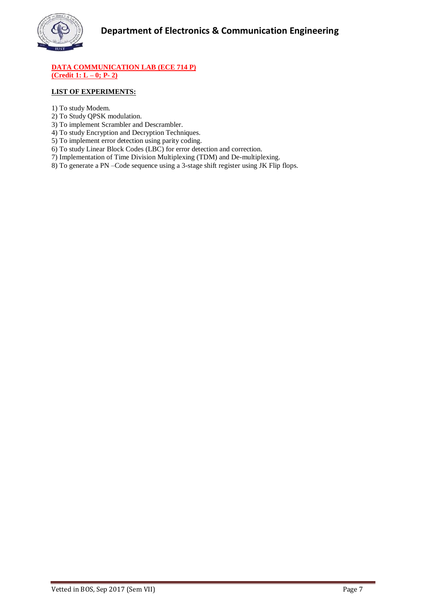

#### **DATA COMMUNICATION LAB (ECE 714 P) (Credit 1: L – 0; P- 2)**

# **LIST OF EXPERIMENTS:**

- 1) To study Modem.
- 2) To Study QPSK modulation.
- 3) To implement Scrambler and Descrambler.
- 4) To study Encryption and Decryption Techniques.
- 5) To implement error detection using parity coding.
- 6) To study Linear Block Codes (LBC) for error detection and correction.
- 7) Implementation of Time Division Multiplexing (TDM) and De-multiplexing.
- 8) To generate a PN –Code sequence using a 3-stage shift register using JK Flip flops.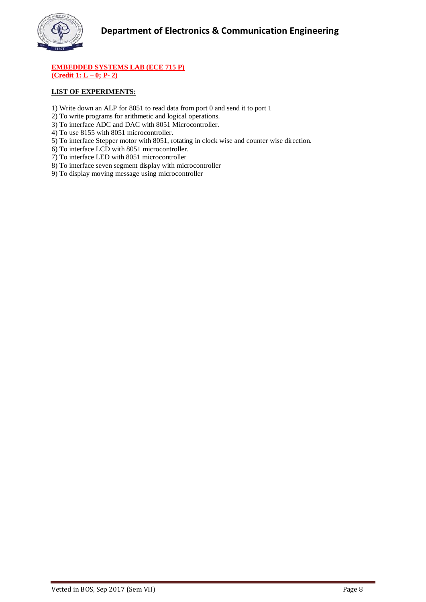

#### **EMBEDDED SYSTEMS LAB (ECE 715 P) (Credit 1: L – 0; P- 2)**

# **LIST OF EXPERIMENTS:**

- 1) Write down an ALP for 8051 to read data from port 0 and send it to port 1
- 2) To write programs for arithmetic and logical operations.
- 3) To interface ADC and DAC with 8051 Microcontroller.
- 4) To use 8155 with 8051 microcontroller.
- 5) To interface Stepper motor with 8051, rotating in clock wise and counter wise direction.
- 6) To interface LCD with 8051 microcontroller.
- 7) To interface LED with 8051 microcontroller
- 8) To interface seven segment display with microcontroller
- 9) To display moving message using microcontroller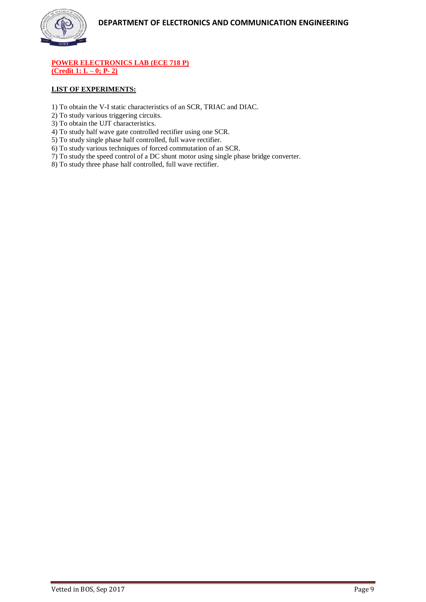

**POWER ELECTRONICS LAB (ECE 718 P) (Credit 1: L – 0; P- 2)**

#### **LIST OF EXPERIMENTS:**

- 1) To obtain the V-I static characteristics of an SCR, TRIAC and DIAC.
- 2) To study various triggering circuits.
- 3) To obtain the UJT characteristics.
- 4) To study half wave gate controlled rectifier using one SCR.
- 5) To study single phase half controlled, full wave rectifier.
- 6) To study various techniques of forced commutation of an SCR.
- 7) To study the speed control of a DC shunt motor using single phase bridge converter.
- 8) To study three phase half controlled, full wave rectifier.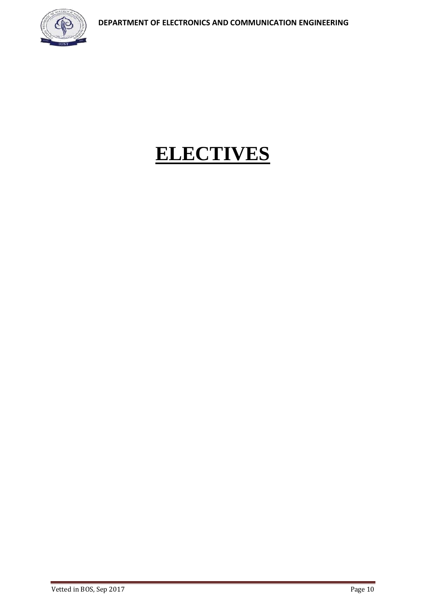

# **ELECTIVES**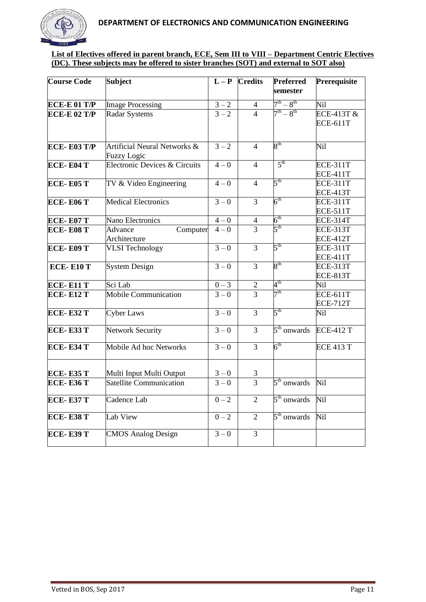

# **List of Electives offered in parent branch, ECE, Sem III to VIII – Department Centric Electives (DC). These subjects may be offered to sister branches (SOT) and external to SOT also)**

| <b>Course Code</b>      | <b>Subject</b>                                                | $L - P$           | <b>Credits</b> | <b>Preferred</b><br>semester | Prerequisite                       |
|-------------------------|---------------------------------------------------------------|-------------------|----------------|------------------------------|------------------------------------|
| <b>ECE-E 01 T/P</b>     | <b>Image Processing</b>                                       | $\frac{3-2}{3-2}$ | $\overline{4}$ | $7^{\rm th} - 8^{\rm th}$    | Nil                                |
| <b>ECE-E 02 T/P</b>     | Radar Systems                                                 |                   | $\overline{4}$ | $7^{th} - 8^{th}$            | ECE-413T $\&$<br><b>ECE-611T</b>   |
| <b>ECE-E03 T/P</b>      | <b>Artificial Neural Networks &amp;</b><br><b>Fuzzy Logic</b> | $3 - 2$           | $\overline{4}$ | $8^{\rm th}$                 | Nil                                |
| $ECE- E04T$             | Electronic Devices & Circuits                                 | $\frac{4-0}{2}$   | $\overline{4}$ | 5 <sup>th</sup>              | <b>ECE-311T</b><br><b>ECE-411T</b> |
| <b>ECE-E05 T</b>        | TV & Video Engineering                                        | $4 - 0$           | $\overline{4}$ | $5^{\text{th}}$              | <b>ECE-311T</b><br><b>ECE-413T</b> |
| <b>ECE-E06 T</b>        | <b>Medical Electronics</b>                                    | $3 - 0$           | $\overline{3}$ | $6^{\text{th}}$              | <b>ECE-311T</b><br><b>ECE-511T</b> |
| <b>ECE-E07 T</b>        | Nano Electronics                                              | $\frac{4-0}{4-0}$ | $\overline{4}$ | $6^{\rm th}$                 | <b>ECE-314T</b>                    |
| ECE-E08 T               | Advance<br>Computer<br>Architecture                           |                   | $\overline{3}$ | $5^{\text{th}}$              | <b>ECE-313T</b><br><b>ECE-412T</b> |
| <b>ECE-E09 T</b>        | <b>VLSI</b> Technology                                        | $\frac{3-0}{2}$   | $\overline{3}$ | 5 <sup>th</sup>              | <b>ECE-311T</b><br><b>ECE-411T</b> |
| <b>ECE-E10 T</b>        | <b>System Design</b>                                          | $3 - 0$           | $\overline{3}$ | $8^{\text{th}}$              | <b>ECE-313T</b><br><b>ECE-813T</b> |
| <b>ECE-E11 T</b>        | Sci Lab                                                       | $\frac{0-3}{3-0}$ | $\mathbf{2}$   | $4^{\rm th}$                 | Nil                                |
| <b>ECE-E12 T</b>        | <b>Mobile Communication</b>                                   |                   | $\overline{3}$ | 7 <sup>th</sup>              | <b>ECE-611T</b><br><b>ECE-712T</b> |
| $\overline{ECE - E32T}$ | <b>Cyber Laws</b>                                             | $3 - 0$           | $\overline{3}$ | 5 <sup>th</sup>              | Nil                                |
| <b>ECE-E33 T</b>        | Network Security                                              | $3 - 0$           | $\overline{3}$ | $5th$ onwards                | <b>ECE-412 T</b>                   |
| <b>ECE-E34 T</b>        | Mobile Ad hoc Networks                                        | $3 - 0$           | $\overline{3}$ | $6^{\text{th}}$              | <b>ECE 413 T</b>                   |
| <b>ECE-E35 T</b>        | Multi Input Multi Output                                      | $\frac{3-0}{3-0}$ | 3              |                              |                                    |
| <b>ECE-E36 T</b>        | <b>Satellite Communication</b>                                |                   | $\overline{3}$ | $5th$ onwards                | Nil                                |
| <b>ECE-E37 T</b>        | Cadence Lab                                                   | $0 - 2$           | $\overline{2}$ | $5th$ onwards                | Nil                                |
| <b>ECE-E38 T</b>        | Lab View                                                      | $0 - 2$           | $\overline{2}$ | $5th$ onwards                | Nil                                |
| <b>ECE-E39 T</b>        | <b>CMOS Analog Design</b>                                     | $3 - 0$           | $\overline{3}$ |                              |                                    |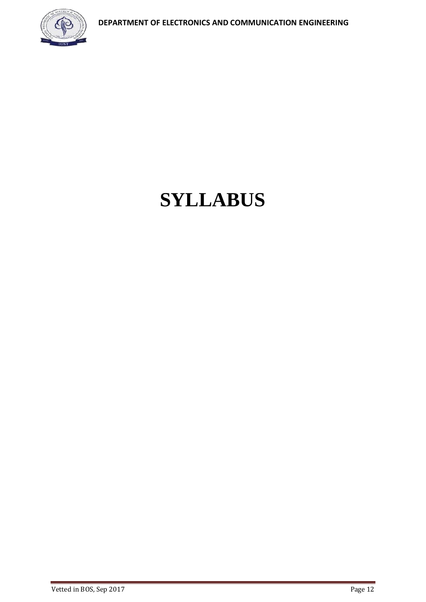

# **SYLLABUS**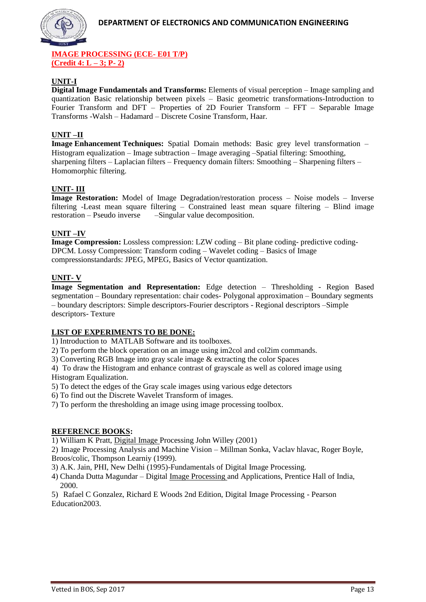

**IMAGE PROCESSING (ECE- E01 T/P) (Credit 4: L – 3; P- 2)**

# **UNIT-I**

**Digital Image Fundamentals and Transforms:** Elements of visual perception – Image sampling and quantization Basic relationship between pixels – Basic geometric transformations-Introduction to Fourier Transform and DFT – Properties of 2D Fourier Transform – FFT – Separable Image Transforms -Walsh – Hadamard – Discrete Cosine Transform, Haar.

# **UNIT –II**

**Image Enhancement Techniques:** Spatial Domain methods: Basic grey level transformation– Histogram equalization – Image subtraction – Image averaging –Spatial filtering: Smoothing, sharpening filters – Laplacian filters – Frequency domain filters: Smoothing – Sharpening filters – Homomorphic filtering.

# **UNIT- III**

**Image Restoration:** Model of Image Degradation/restoration process – Noise models – Inverse filtering -Least mean square filtering – Constrained least mean square filtering – Blind image -Singular value decomposition.

# **UNIT –IV**

**Image Compression:** Lossless compression: LZW coding – Bit plane coding- predictive coding-DPCM. Lossy Compression: Transform coding – Wavelet coding – Basics of Image compressionstandards: JPEG, MPEG, Basics of Vector quantization.

# **UNIT- V**

**Image Segmentation and Representation:** Edge detection – Thresholding - Region Based segmentation – Boundary representation: chair codes- Polygonal approximation – Boundary segments – boundary descriptors: Simple descriptors-Fourier descriptors - Regional descriptors –Simple descriptors- Texture

# **LIST OF EXPERIMENTS TO BE DONE:**

1) Introduction to MATLAB Software and its toolboxes.

2) To perform the block operation on an image using im2col and col2im commands.

3) Converting RGB Image into gray scale image & extracting the color Spaces

4) To draw the Histogram and enhance contrast of grayscale as well as colored image using Histogram Equalization.

5) To detect the edges of the Gray scale images using various edge detectors

6) To find out the Discrete Wavelet Transform of images.

7) To perform the thresholding an image using image processing toolbox.

# **REFERENCE BOOKS:**

1) William K Pratt, [Digital Image P](http://www.indiastudychannel.com/resources/35366-EC-DIGITAL-IMAGE-PROCESSING-Syllabus-Anna.aspx)rocessing John Willey (2001)

2) Image Processing Analysis and Machine Vision – Millman Sonka, Vaclav hlavac, Roger Boyle, Broos/colic, Thompson Learniy (1999).

3) A.K. Jain, PHI, New Delhi (1995)-Fundamentals of Digital Image Processing.

4) Chanda Dutta Magundar – Digital [Image Processing a](http://www.indiastudychannel.com/resources/35366-EC-DIGITAL-IMAGE-PROCESSING-Syllabus-Anna.aspx)nd Applications, Prentice Hall of India, 2000.

5) Rafael C Gonzalez, Richard E Woods 2nd Edition, Digital Image Processing - Pearson Education2003.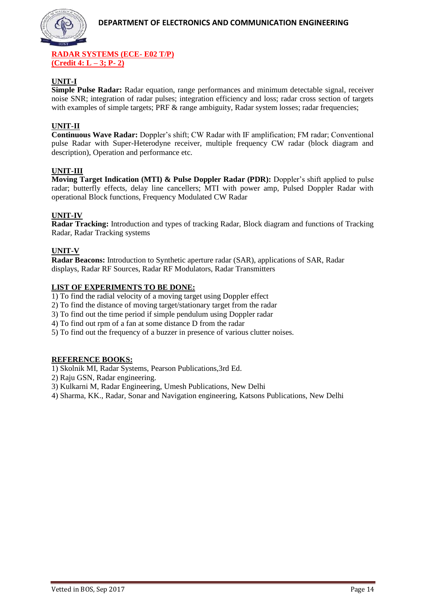

#### **RADAR SYSTEMS (ECE- E02 T/P) (Credit 4: L – 3; P- 2)**

# **UNIT-I**

**Simple Pulse Radar:** Radar equation, range performances and minimum detectable signal, receiver noise SNR; integration of radar pulses; integration efficiency and loss; radar cross section of targets with examples of simple targets; PRF & range ambiguity, Radar system losses; radar frequencies;

# **UNIT-II**

**Continuous Wave Radar:** Doppler's shift; CW Radar with IF amplification; FM radar; Conventional pulse Radar with Super-Heterodyne receiver, multiple frequency CW radar (block diagram and description), Operation and performance etc.

# **UNIT-III**

**Moving Target Indication (MTI) & Pulse Doppler Radar (PDR):** Doppler's shift applied to pulse radar; butterfly effects, delay line cancellers; MTI with power amp, Pulsed Doppler Radar with operational Block functions, Frequency Modulated CW Radar

# **UNIT-IV**

**Radar Tracking:** Introduction and types of tracking Radar, Block diagram and functions of Tracking Radar, Radar Tracking systems

# **UNIT-V**

**Radar Beacons:** Introduction to Synthetic aperture radar (SAR), applications of SAR, Radar displays, Radar RF Sources, Radar RF Modulators, Radar Transmitters

# **LIST OF EXPERIMENTS TO BE DONE:**

1) To find the radial velocity of a moving target using Doppler effect

2) To find the distance of moving target/stationary target from the radar

3) To find out the time period if simple pendulum using Doppler radar

4) To find out rpm of a fan at some distance D from the radar

5) To find out the frequency of a buzzer in presence of various clutter noises.

# **REFERENCE BOOKS:**

1) Skolnik MI, Radar Systems, Pearson Publications,3rd Ed.

2) Raju GSN, Radar engineering.

3) Kulkarni M, Radar Engineering, Umesh Publications, New Delhi

4) Sharma, KK., Radar, Sonar and Navigation engineering, Katsons Publications, New Delhi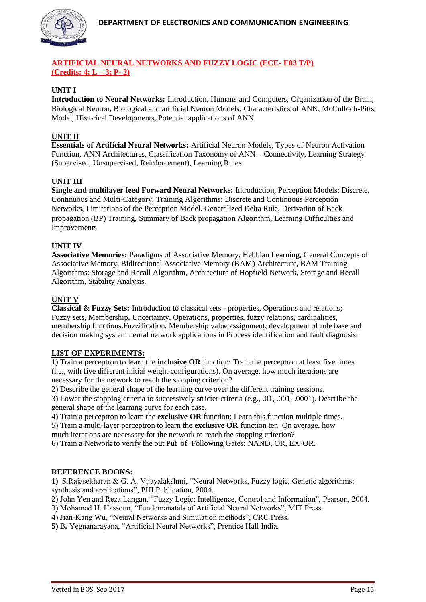

# **ARTIFICIAL NEURAL NETWORKS AND FUZZY LOGIC (ECE- E03 T/P) (Credits: 4: L – 3; P- 2)**

# **UNIT I**

**Introduction to Neural Networks:** Introduction, Humans and Computers, Organization of the Brain, Biological Neuron, Biological and artificial Neuron Models, Characteristics of ANN, McCulloch-Pitts Model, Historical Developments, Potential applications of ANN.

# **UNIT II**

**Essentials of Artificial Neural Networks:** Artificial Neuron Models, Types of Neuron Activation Function, ANN Architectures, Classification Taxonomy of ANN – Connectivity, Learning Strategy (Supervised, Unsupervised, Reinforcement), Learning Rules.

## **UNIT III**

**Single and multilayer feed Forward Neural Networks:** Introduction, Perception Models: Discrete, Continuous and Multi-Category, Training Algorithms: Discrete and Continuous Perception Networks, Limitations of the Perception Model. Generalized Delta Rule, Derivation of Back propagation (BP) Training, Summary of Back propagation Algorithm, Learning Difficulties and Improvements

## **UNIT IV**

**Associative Memories:** Paradigms of Associative Memory, Hebbian Learning, General Concepts of Associative Memory, Bidirectional Associative Memory (BAM) Architecture, BAM Training Algorithms: Storage and Recall Algorithm, Architecture of Hopfield Network, Storage and Recall Algorithm, Stability Analysis.

## **UNIT V**

**Classical & Fuzzy Sets:** Introduction to classical sets - properties, Operations and relations; Fuzzy sets, Membership, Uncertainty, Operations, properties, fuzzy relations, cardinalities, membership functions.Fuzzification, Membership value assignment, development of rule base and decision making system neural network applications in Process identification and fault diagnosis.

#### **LIST OF EXPERIMENTS:**

1) Train a perceptron to learn the **inclusive OR** function: Train the perceptron at least five times (i.e., with five different initial weight configurations). On average, how much iterations are necessary for the network to reach the stopping criterion?

2) Describe the general shape of the learning curve over the different training sessions.

3) Lower the stopping criteria to successively stricter criteria (e.g., .01, .001, .0001). Describe the general shape of the learning curve for each case.

4) Train a perceptron to learn the **exclusive OR** function: Learn this function multiple times. 5) Train a multi-layer perceptron to learn the **exclusive OR** function ten. On average, how much iterations are necessary for the network to reach the stopping criterion?

6) Train a Network to verify the out Put of Following Gates: NAND, OR, EX-OR.

#### **REFERENCE BOOKS:**

1) S.Rajasekharan & G. A. Vijayalakshmi, "Neural Networks, Fuzzy logic, Genetic algorithms: synthesis and applications", PHI Publication, 2004.

2) John Yen and Reza Langan, "Fuzzy Logic: Intelligence, Control and Information", Pearson, 2004.

3) Mohamad H. Hassoun, "Fundemanatals of Artificial Neural Networks", MIT Press.

4) Jian-Kang Wu, "Neural Networks and Simulation methods", CRC Press.

**5)** B*.* Yegnanarayana, "Artificial Neural Networks", Prentice Hall India.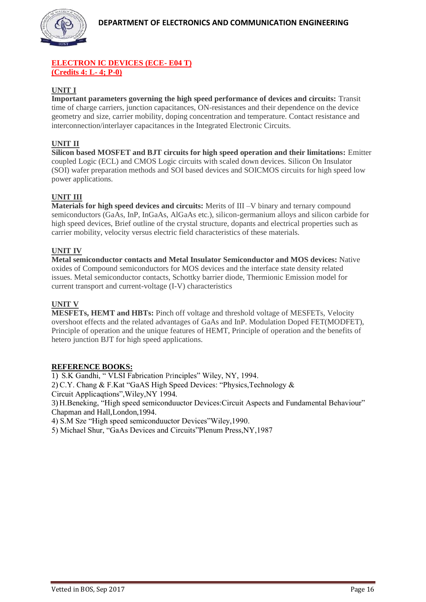

# **ELECTRON IC DEVICES (ECE- E04 T) (Credits 4: L- 4; P-0)**

# **UNIT I**

**Important parameters governing the high speed performance of devices and circuits:** Transit time of charge carriers, junction capacitances, ON-resistances and their dependence on the device geometry and size, carrier mobility, doping concentration and temperature. Contact resistance and interconnection/interlayer capacitances in the Integrated Electronic Circuits.

# **UNIT II**

**Silicon based MOSFET and BJT circuits for high speed operation and their limitations:** Emitter coupled Logic (ECL) and CMOS Logic circuits with scaled down devices. Silicon On Insulator (SOI) wafer preparation methods and SOI based devices and SOICMOS circuits for high speed low power applications.

# **UNIT III**

**Materials for high speed devices and circuits:** Merits of III –V binary and ternary compound semiconductors (GaAs, InP, InGaAs, AlGaAs etc.), silicon-germanium alloys and silicon carbide for high speed devices, Brief outline of the crystal structure, dopants and electrical properties such as carrier mobility, velocity versus electric field characteristics of these materials.

# **UNIT IV**

**Metal semiconductor contacts and Metal Insulator Semiconductor and MOS devices:** Native oxides of Compound semiconductors for MOS devices and the interface state density related issues. Metal semiconductor contacts, Schottky barrier diode, Thermionic Emission model for current transport and current-voltage (I-V) characteristics

# **UNIT V**

**MESFETs, HEMT and HBTs:** Pinch off voltage and threshold voltage of MESFETs, Velocity overshoot effects and the related advantages of GaAs and InP. Modulation Doped FET(MODFET), Principle of operation and the unique features of HEMT, Principle of operation and the benefits of hetero junction BJT for high speed applications.

# **REFERENCE BOOKS:**

1) S.K Gandhi, " VLSI Fabrication Principles" Wiley, NY, 1994.

2) C.Y. Chang & F.Kat "GaAS High Speed Devices: "Physics,Technology &

Circuit Applicaqtions",Wiley,NY 1994.

3) H.Beneking, "High speed semiconduuctor Devices:Circuit Aspects and Fundamental Behaviour" Chapman and Hall,London,1994.

4) S.M Sze "High speed semiconduuctor Devices"Wiley,1990.

5) Michael Shur, "GaAs Devices and Circuits"Plenum Press,NY,1987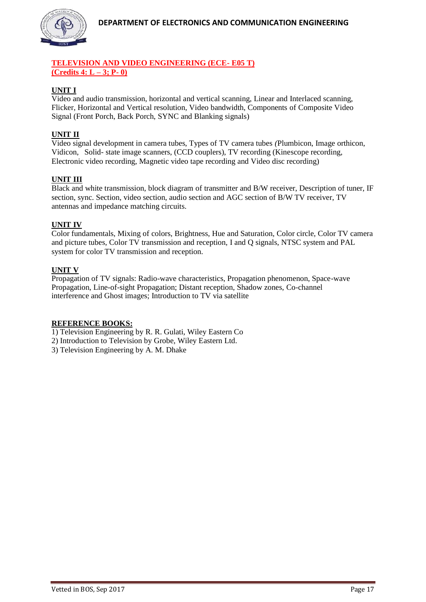

# **TELEVISION AND VIDEO ENGINEERING (ECE- E05 T) (Credits 4: L – 3; P- 0)**

# **UNIT I**

Video and audio transmission, horizontal and vertical scanning, Linear and Interlaced scanning, Flicker, Horizontal and Vertical resolution, Video bandwidth, Components of Composite Video Signal (Front Porch, Back Porch, SYNC and Blanking signals)

# **UNIT II**

Video signal development in camera tubes, Types of TV camera tubes *(*Plumbicon, Image orthicon, Vidicon, Solid- state image scanners, (CCD couplers), TV recording (Kinescope recording, Electronic video recording, Magnetic video tape recording and Video disc recording)

# **UNIT III**

Black and white transmission, block diagram of transmitter and B/W receiver, Description of tuner, IF section, sync. Section, video section, audio section and AGC section of B/W TV receiver, TV antennas and impedance matching circuits.

# **UNIT IV**

Color fundamentals, Mixing of colors, Brightness, Hue and Saturation, Color circle, Color TV camera and picture tubes, Color TV transmission and reception, I and Q signals, NTSC system and PAL system for color TV transmission and reception.

## **UNIT V**

Propagation of TV signals: Radio-wave characteristics, Propagation phenomenon, Space-wave Propagation, Line-of-sight Propagation; Distant reception, Shadow zones, Co-channel interference and Ghost images; Introduction to TV via satellite

# **REFERENCE BOOKS:**

1) Television Engineering by R. R. Gulati, Wiley Eastern Co

- 2) Introduction to Television by Grobe, Wiley Eastern Ltd.
- 3) Television Engineering by A. M. Dhake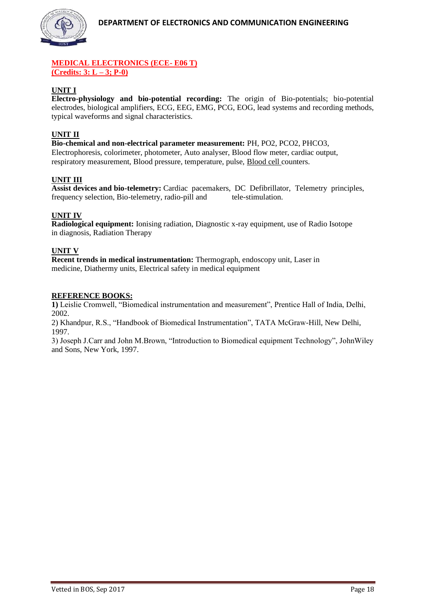

# **MEDICAL ELECTRONICS (ECE- E06 T) (Credits: 3: L – 3; P-0)**

# **UNIT I**

**Electro-physiology and bio-potential recording:** The origin of Bio-potentials; bio-potential electrodes, biological amplifiers, ECG, EEG, EMG, PCG, EOG, lead systems and recording methods, typical waveforms and signal characteristics.

# **UNIT II**

**Bio-chemical and non-electrical parameter measurement:** PH, PO2, PCO2, PHCO3, Electrophoresis, colorimeter, photometer, Auto analyser, Blood flow meter, cardiac output, respiratory measurement, Blood pressure, temperature, pulse, [Blood cell c](http://www.indiastudychannel.com/resources/35363-EC-MEDICAL-ELECTRONICS-Syllabus-Anna.aspx)ounters.

# **UNIT III**

**Assist devices and bio-telemetry:** Cardiac pacemakers, DC Defibrillator, Telemetry principles, frequency selection, Bio-telemetry, radio-pill and tele-stimulation.

# **UNIT IV**

**Radiological equipment:** Ionising radiation, Diagnostic x-ray equipment, use of Radio Isotope in diagnosis, Radiation Therapy

## **UNIT V**

**Recent trends in medical instrumentation:** Thermograph, endoscopy unit, Laser in medicine, Diathermy units, Electrical safety in medical equipment

## **REFERENCE BOOKS:**

**1)** Leislie Cromwell, "Biomedical instrumentation and measurement", Prentice Hall of India, Delhi, 2002.

2) Khandpur, R.S., "Handbook of Biomedical Instrumentation", TATA McGraw-Hill, New Delhi, 1997.

3) Joseph J.Carr and John M.Brown, "Introduction to Biomedical equipment Technology", JohnWiley and Sons, New York, 1997.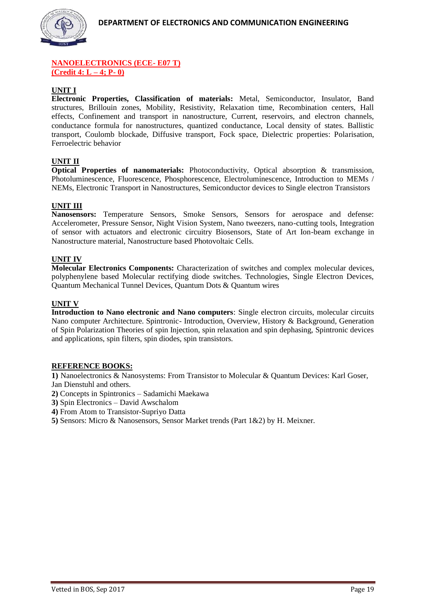

# **NANOELECTRONICS (ECE- E07 T) (Credit 4: L – 4; P- 0)**

# **UNIT I**

**Electronic Properties, Classification of materials:** Metal, Semiconductor, Insulator, Band structures, Brillouin zones, Mobility, Resistivity, Relaxation time, Recombination centers, Hall effects, Confinement and transport in nanostructure, Current, reservoirs, and electron channels, conductance formula for nanostructures, quantized conductance, Local density of states. Ballistic transport, Coulomb blockade, Diffusive transport, Fock space, Dielectric properties: Polarisation, Ferroelectric behavior

# **UNIT II**

**Optical Properties of nanomaterials:** Photoconductivity, Optical absorption & transmission, Photoluminescence, Fluorescence, Phosphorescence, Electroluminescence, Introduction to MEMs / NEMs, Electronic Transport in Nanostructures, Semiconductor devices to Single electron Transistors

## **UNIT III**

**Nanosensors:** Temperature Sensors, Smoke Sensors, Sensors for aerospace and defense: Accelerometer, Pressure Sensor, Night Vision System, Nano tweezers, nano-cutting tools, Integration of sensor with actuators and electronic circuitry Biosensors, State of Art Ion-beam exchange in Nanostructure material, Nanostructure based Photovoltaic Cells.

## **UNIT IV**

**Molecular Electronics Components:** Characterization of switches and complex molecular devices, polyphenylene based Molecular rectifying diode switches. Technologies, Single Electron Devices, Quantum Mechanical Tunnel Devices, Quantum Dots & Quantum wires

#### **UNIT V**

**Introduction to Nano electronic and Nano computers**: Single electron circuits, molecular circuits Nano computer Architecture. Spintronic- Introduction, Overview, History & Background, Generation of Spin Polarization Theories of spin Injection, spin relaxation and spin dephasing, Spintronic devices and applications, spin filters, spin diodes, spin transistors.

#### **REFERENCE BOOKS:**

**1)** Nanoelectronics & Nanosystems: From Transistor to Molecular & Quantum Devices: Karl Goser, Jan Dienstuhl and others.

- **2)** Concepts in Spintronics Sadamichi Maekawa
- **3)** Spin Electronics David Awschalom
- **4)** From Atom to Transistor-Supriyo Datta

**5)** Sensors: Micro & Nanosensors, Sensor Market trends (Part 1&2) by H. Meixner.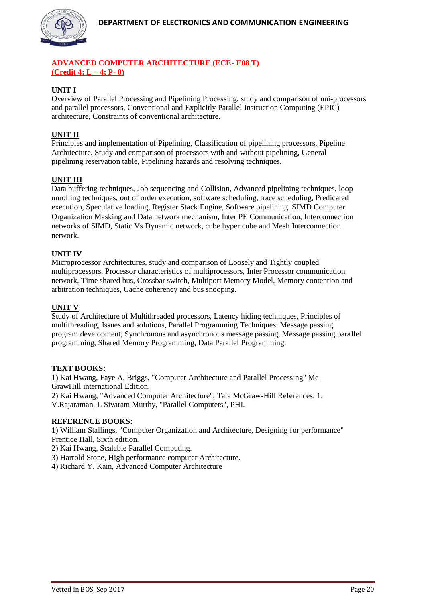

# **ADVANCED COMPUTER ARCHITECTURE (ECE- E08 T) (Credit 4: L – 4; P- 0)**

# **UNIT I**

Overview of Parallel Processing and Pipelining Processing, study and comparison of uni-processors and parallel processors, Conventional and Explicitly Parallel Instruction Computing (EPIC) architecture, Constraints of conventional architecture.

# **UNIT II**

Principles and implementation of Pipelining, Classification of pipelining processors, Pipeline Architecture, Study and comparison of processors with and without pipelining, General pipelining reservation table, Pipelining hazards and resolving techniques.

## **UNIT III**

Data buffering techniques, Job sequencing and Collision, Advanced pipelining techniques, loop unrolling techniques, out of order execution, software scheduling, trace scheduling, Predicated execution, Speculative loading, Register Stack Engine, Software pipelining. SIMD Computer Organization Masking and Data network mechanism, Inter PE Communication, Interconnection networks of SIMD, Static Vs Dynamic network, cube hyper cube and Mesh Interconnection network.

## **UNIT IV**

Microprocessor Architectures, study and comparison of Loosely and Tightly coupled multiprocessors. Processor characteristics of multiprocessors, Inter Processor communication network, Time shared bus, Crossbar switch, Multiport Memory Model, Memory contention and arbitration techniques, Cache coherency and bus snooping.

#### **UNIT V**

Study of Architecture of Multithreaded processors, Latency hiding techniques, Principles of multithreading, Issues and solutions, Parallel Programming Techniques: Message passing program development, Synchronous and asynchronous message passing, Message passing parallel programming, Shared Memory Programming, Data Parallel Programming.

#### **TEXT BOOKS:**

1) Kai Hwang, Faye A. Briggs, "Computer Architecture and Parallel Processing" Mc GrawHill international Edition.

2) Kai Hwang, "Advanced Computer Architecture", Tata McGraw-Hill References: 1. V.Rajaraman, L Sivaram Murthy, "Parallel Computers", PHI.

#### **REFERENCE BOOKS:**

1) William Stallings, "Computer Organization and Architecture, Designing for performance" Prentice Hall, Sixth edition.

2) Kai Hwang, Scalable Parallel Computing.

3) Harrold Stone, High performance computer Architecture.

4) Richard Y. Kain, Advanced Computer Architecture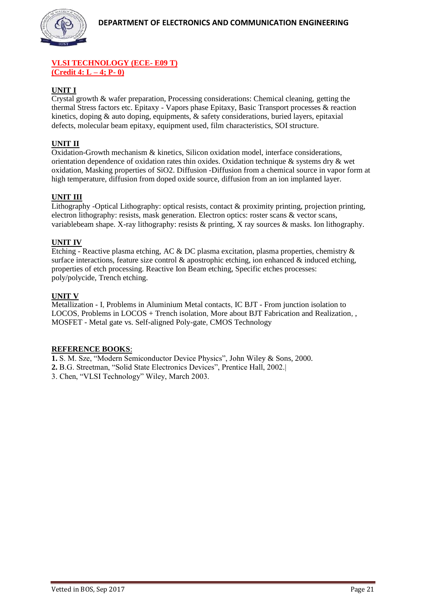

# **VLSI TECHNOLOGY (ECE- E09 T) (Credit 4: L – 4; P- 0)**

# **UNIT I**

Crystal growth & wafer preparation, Processing considerations: Chemical cleaning, getting the thermal Stress factors etc. Epitaxy - Vapors phase Epitaxy, Basic Transport processes & reaction kinetics, doping & auto doping, equipments, & safety considerations, buried layers, epitaxial defects, molecular beam epitaxy, equipment used, film characteristics, SOI structure.

# **UNIT II**

Oxidation-Growth mechanism & kinetics, Silicon oxidation model, interface considerations, orientation dependence of oxidation rates thin oxides. Oxidation technique & systems dry & wet oxidation, Masking properties of SiO2. Diffusion -Diffusion from a chemical source in vapor form at high temperature, diffusion from doped oxide source, diffusion from an ion implanted layer.

# **UNIT III**

Lithography -Optical Lithography: optical resists, contact & proximity printing, projection printing, electron lithography: resists, mask generation. Electron optics: roster scans & vector scans, variablebeam shape. X-ray lithography: resists & printing, X ray sources & masks. Ion lithography.

## **UNIT IV**

Etching - Reactive plasma etching, AC & DC plasma excitation, plasma properties, chemistry & surface interactions, feature size control  $\&$  apostrophic etching, ion enhanced  $\&$  induced etching, properties of etch processing. Reactive Ion Beam etching, Specific etches processes: poly/polycide, Trench etching.

## **UNIT V**

Metallization - I, [Problems in Aluminium Metal contacts,](http://nptel.ac.in/courses/117106093/) IC BJT - From junction isolation to LOCOS, Problems in LOCOS + Trench isolation, [More about BJT Fabrication and Realization, ,](http://nptel.ac.in/courses/117106093/) MOSFET - [Metal gate vs. Self-aligned Poly-gate,](http://nptel.ac.in/courses/117106093/) CMOS Technology

#### **REFERENCE BOOKS**:

**1.** S. M. Sze, "Modern Semiconductor Device Physics", John Wiley & Sons, 2000.

**2.** B.G. Streetman, "Solid State Electronics Devices", Prentice Hall, 2002.|

3. Chen, "VLSI Technology" Wiley, March 2003.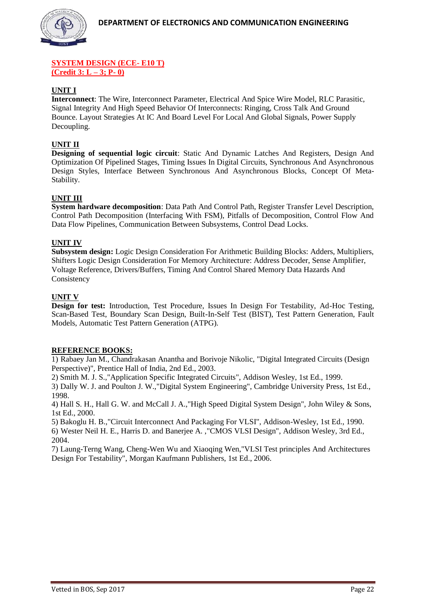

#### **SYSTEM DESIGN (ECE- E10 T) (Credit 3: L – 3; P- 0)**

# **UNIT I**

**Interconnect**: The Wire, Interconnect Parameter, Electrical And Spice Wire Model, RLC Parasitic, Signal Integrity And High Speed Behavior Of Interconnects: Ringing, Cross Talk And Ground Bounce. Layout Strategies At IC And Board Level For Local And Global Signals, Power Supply Decoupling.

# **UNIT II**

**Designing of sequential logic circuit**: Static And Dynamic Latches And Registers, Design And Optimization Of Pipelined Stages, Timing Issues In Digital Circuits, Synchronous And Asynchronous Design Styles, Interface Between Synchronous And Asynchronous Blocks, Concept Of Meta-Stability.

## **UNIT III**

**System hardware decomposition**: Data Path And Control Path, Register Transfer Level Description, Control Path Decomposition (Interfacing With FSM), Pitfalls of Decomposition, Control Flow And Data Flow Pipelines, Communication Between Subsystems, Control Dead Locks.

#### **UNIT IV**

**Subsystem design:** Logic Design Consideration For Arithmetic Building Blocks: Adders, Multipliers, Shifters Logic Design Consideration For Memory Architecture: Address Decoder, Sense Amplifier, Voltage Reference, Drivers/Buffers, Timing And Control Shared Memory Data Hazards And **Consistency** 

#### **UNIT V**

**Design for test:** Introduction, Test Procedure, Issues In Design For Testability, Ad-Hoc Testing, Scan-Based Test, Boundary Scan Design, Built-In-Self Test (BIST), Test Pattern Generation, Fault Models, Automatic Test Pattern Generation (ATPG).

#### **REFERENCE BOOKS:**

1) Rabaey Jan M., Chandrakasan Anantha and Borivoje Nikolic, "Digital Integrated Circuits (Design Perspective)", Prentice Hall of India, 2nd Ed., 2003.

2) Smith M. J. S.,"Application Specific Integrated Circuits", Addison Wesley, 1st Ed., 1999.

3) Dally W. J. and Poulton J. W.,"Digital System Engineering", Cambridge University Press, 1st Ed., 1998.

4) Hall S. H., Hall G. W. and McCall J. A.,"High Speed Digital System Design", John Wiley & Sons, 1st Ed., 2000.

5) Bakoglu H. B.,"Circuit Interconnect And Packaging For VLSI", Addison-Wesley, 1st Ed., 1990. 6) Wester Neil H. E., Harris D. and Banerjee A. ,"CMOS VLSI Design", Addison Wesley, 3rd Ed., 2004.

7) Laung-Terng Wang, Cheng-Wen Wu and Xiaoqing Wen,"VLSI Test principles And Architectures Design For Testability", Morgan Kaufmann Publishers, 1st Ed., 2006.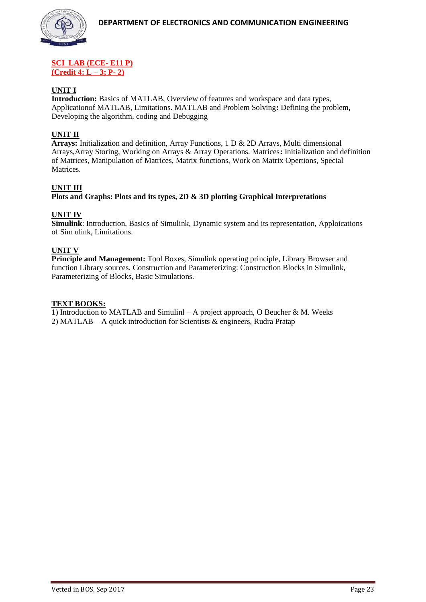#### **SCI LAB (ECE- E11 P) (Credit 4: L – 3; P- 2)**

# **UNIT I**

**Introduction:** Basics of MATLAB, Overview of features and workspace and data types, Applicationof MATLAB, Limitations. MATLAB and Problem Solving**:** Defining the problem, Developing the algorithm, coding and Debugging

## **UNIT II**

**Arrays:** Initialization and definition, Array Functions, 1 D & 2D Arrays, Multi dimensional Arrays,Array Storing, Working on Arrays & Array Operations. Matrices**:** Initialization and definition of Matrices, Manipulation of Matrices, Matrix functions, Work on Matrix Opertions, Special **Matrices** 

# **UNIT III**

**Plots and Graphs: Plots and its types, 2D & 3D plotting Graphical Interpretations**

# **UNIT IV**

**Simulink**: Introduction, Basics of Simulink, Dynamic system and its representation, Apploications of Sim ulink, Limitations.

# **UNIT V**

**Principle and Management:** Tool Boxes, Simulink operating principle, Library Browser and function Library sources. Construction and Parameterizing: Construction Blocks in Simulink, Parameterizing of Blocks, Basic Simulations.

#### **TEXT BOOKS:**

1) Introduction to MATLAB and Simulinl – A project approach, O Beucher & M. Weeks 2) MATLAB – A quick introduction for Scientists & engineers, Rudra Pratap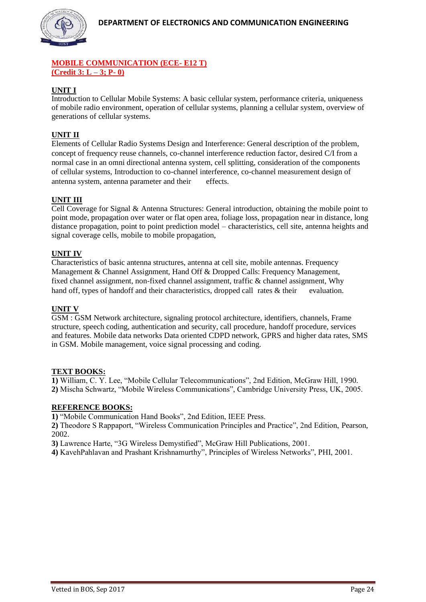

# **MOBILE COMMUNICATION (ECE- E12 T) (Credit 3: L – 3; P- 0)**

# **UNIT I**

Introduction to Cellular Mobile Systems: A basic cellular system, performance criteria, uniqueness of mobile radio environment, operation of cellular systems, planning a cellular system, overview of generations of cellular systems.

# **UNIT II**

Elements of Cellular Radio Systems Design and Interference: General description of the problem, concept of frequency reuse channels, co-channel interference reduction factor, desired C/I from a normal case in an omni directional antenna system, cell splitting, consideration of the components of cellular systems, Introduction to co-channel interference, co-channel measurement design of antenna system, antenna parameter and their effects.

# **UNIT III**

Cell Coverage for Signal & Antenna Structures: General introduction, obtaining the mobile point to point mode, propagation over water or flat open area, foliage loss, propagation near in distance, long distance propagation, point to point prediction model – characteristics, cell site, antenna heights and signal coverage cells, mobile to mobile propagation,

# **UNIT IV**

Characteristics of basic antenna structures, antenna at cell site, mobile antennas. Frequency Management & Channel Assignment, Hand Off & Dropped Calls: Frequency Management, fixed channel assignment, non-fixed channel assignment, traffic & channel assignment, Why hand off, types of handoff and their characteristics, dropped call rates & their evaluation.

# **UNIT V**

GSM : GSM Network architecture, signaling protocol architecture, identifiers, channels, Frame structure, speech coding, authentication and security, call procedure, handoff procedure, services and features. Mobile data networks Data oriented CDPD network, GPRS and higher data rates, SMS in GSM. Mobile management, voice signal processing and coding.

#### **TEXT BOOKS:**

**1)** William, C. Y. Lee, "Mobile Cellular Telecommunications", 2nd Edition, McGraw Hill, 1990. **2)** Mischa Schwartz, "Mobile Wireless Communications", Cambridge University Press, UK, 2005.

#### **REFERENCE BOOKS:**

**1)** "Mobile Communication Hand Books", 2nd Edition, IEEE Press.

**2)** Theodore S Rappaport, "Wireless Communication Principles and Practice", 2nd Edition, Pearson, 2002.

**3)** Lawrence Harte, "3G Wireless Demystified", McGraw Hill Publications, 2001.

**4)** KavehPahlavan and Prashant Krishnamurthy", Principles of Wireless Networks", PHI, 2001.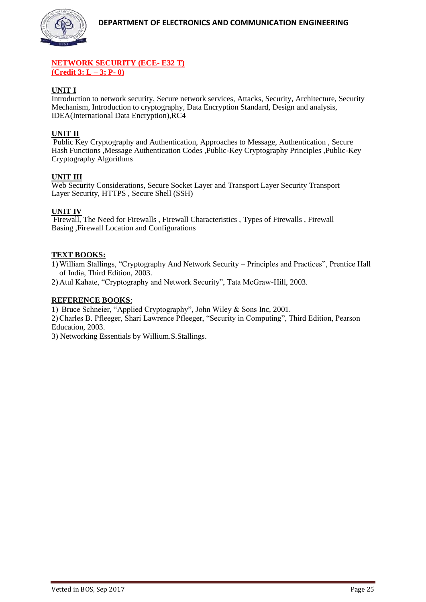

#### **NETWORK SECURITY (ECE- E32 T) (Credit 3: L – 3; P- 0)**

# **UNIT I**

Introduction to network security, Secure network services, Attacks, Security, Architecture, Security Mechanism, Introduction to cryptography, Data Encryption Standard, Design and analysis, IDEA(International Data Encryption),RC4

# **UNIT II**

Public Key Cryptography and Authentication, Approaches to Message, Authentication , Secure Hash Functions ,Message Authentication Codes ,Public-Key Cryptography Principles ,Public-Key Cryptography Algorithms

## **UNIT III**

Web Security Considerations, Secure Socket Layer and Transport Layer Security Transport Layer Security, HTTPS , Secure Shell (SSH)

#### **UNIT IV**

Firewall, The Need for Firewalls , Firewall Characteristics , Types of Firewalls , Firewall Basing ,Firewall Location and Configurations

#### **TEXT BOOKS:**

1) William Stallings, "Cryptography And Network Security – Principles and Practices", Prentice Hall of India, Third Edition, 2003.

2) Atul Kahate, "Cryptography and Network Security", Tata McGraw-Hill, 2003.

#### **REFERENCE BOOKS**:

1) Bruce Schneier, "Applied Cryptography", John Wiley & Sons Inc, 2001.

2)Charles B. Pfleeger, Shari Lawrence Pfleeger, "Security in Computing", Third Edition, Pearson Education, 2003.

3) Networking Essentials by Willium.S.Stallings.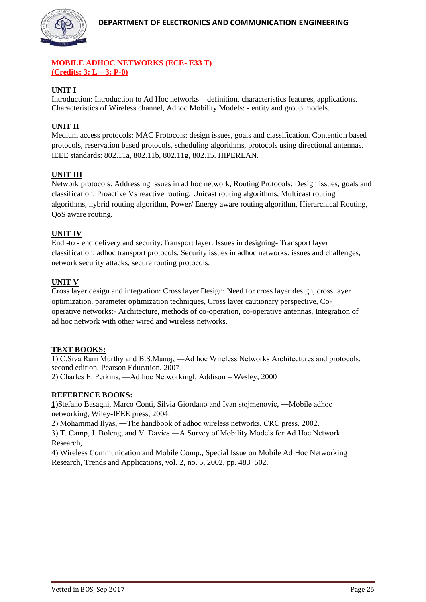

# **MOBILE ADHOC NETWORKS (ECE- E33 T) (Credits: 3: L – 3; P-0)**

# **UNIT I**

Introduction: Introduction to Ad Hoc networks – definition, characteristics features, applications. Characteristics of Wireless channel, Adhoc Mobility Models: - entity and group models.

# **UNIT II**

Medium access protocols: MAC Protocols: design issues, goals and classification. Contention based protocols, reservation based protocols, scheduling algorithms, protocols using directional antennas. IEEE standards: 802.11a, 802.11b, 802.11g, 802.15. HIPERLAN.

# **UNIT III**

Network protocols: Addressing issues in ad hoc network, Routing Protocols: Design issues, goals and classification. Proactive Vs reactive routing, Unicast routing algorithms, Multicast routing algorithms, hybrid routing algorithm, Power/ Energy aware routing algorithm, Hierarchical Routing, QoS aware routing.

# **UNIT IV**

End -to - end delivery and security:Transport layer: Issues in designing- Transport layer classification, adhoc transport protocols. Security issues in adhoc networks: issues and challenges, network security attacks, secure routing protocols.

# **UNIT V**

Cross layer design and integration: Cross layer Design: Need for cross layer design, cross layer optimization, parameter optimization techniques, Cross layer cautionary perspective, Cooperative networks:- Architecture, methods of co-operation, co-operative antennas, Integration of ad hoc network with other wired and wireless networks.

# **TEXT BOOKS:**

1) C.Siva Ram Murthy and B.S.Manoj, ―Ad hoc Wireless Networks Architectures and protocols, second edition, Pearson Education. 2007 2) Charles E. Perkins, ―Ad hoc Networking‖, Addison – Wesley, 2000

# **REFERENCE BOOKS:**

1)Stefano Basagni, Marco Conti, Silvia Giordano and Ivan stojmenovic, ―Mobile adhoc networking, Wiley-IEEE press, 2004.

2) Mohammad Ilyas, ―The handbook of adhoc wireless networks, CRC press, 2002.

3) T. Camp, J. Boleng, and V. Davies ―A Survey of Mobility Models for Ad Hoc Network Research,

4) Wireless Communication and Mobile Comp., Special Issue on Mobile Ad Hoc Networking Research, Trends and Applications, vol. 2, no. 5, 2002, pp. 483–502.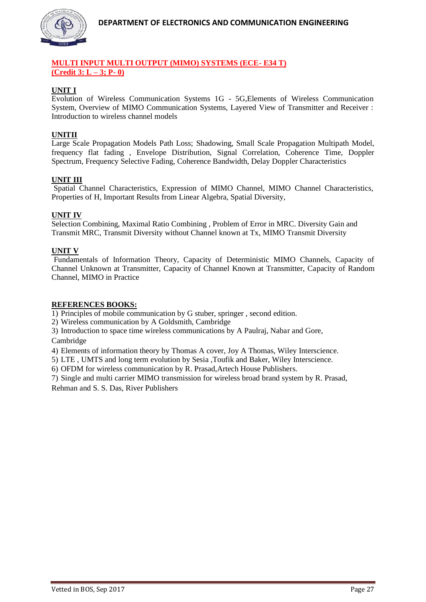

# **MULTI INPUT MULTI OUTPUT (MIMO) SYSTEMS (ECE- E34 T) (Credit 3: L – 3; P- 0)**

# **UNIT I**

Evolution of Wireless Communication Systems 1G - 5G,Elements of Wireless Communication System, Overview of MIMO Communication Systems, Layered View of Transmitter and Receiver : Introduction to wireless channel models

# **UNITII**

Large Scale Propagation Models Path Loss; Shadowing, Small Scale Propagation Multipath Model, frequency flat fading , Envelope Distribution, Signal Correlation, Coherence Time, Doppler Spectrum, Frequency Selective Fading, Coherence Bandwidth, Delay Doppler Characteristics

## **UNIT III**

Spatial Channel Characteristics, Expression of MIMO Channel, MIMO Channel Characteristics, Properties of H, Important Results from Linear Algebra, Spatial Diversity,

## **UNIT IV**

Selection Combining, Maximal Ratio Combining , Problem of Error in MRC. Diversity Gain and Transmit MRC, Transmit Diversity without Channel known at Tx, MIMO Transmit Diversity

#### **UNIT V**

Fundamentals of Information Theory, Capacity of Deterministic MIMO Channels, Capacity of Channel Unknown at Transmitter, Capacity of Channel Known at Transmitter, Capacity of Random Channel, MIMO in Practice

#### **REFERENCES BOOKS:**

1) Principles of mobile communication by G stuber, springer , second edition.

2) Wireless communication by A Goldsmith, Cambridge

3) Introduction to space time wireless communications by A Paulraj, Nabar and Gore, Cambridge

4) Elements of information theory by Thomas A cover, Joy A Thomas, Wiley Interscience.

5) LTE , UMTS and long term evolution by Sesia ,Toufik and Baker, Wiley Interscience.

6) OFDM for wireless communication by R. Prasad,Artech House Publishers.

7) Single and multi carrier MIMO transmission for wireless broad brand system by R. Prasad,

Rehman and S. S. Das, River Publishers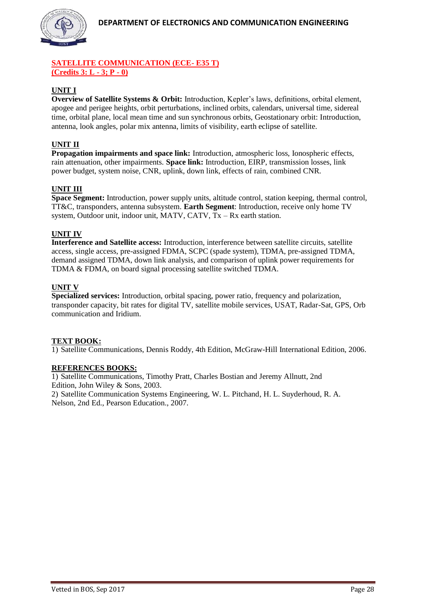

# **SATELLITE COMMUNICATION (ECE- E35 T) (Credits 3: L - 3; P - 0)**

# **UNIT I**

**Overview of Satellite Systems & Orbit:** Introduction, Kepler's laws, definitions, orbital element, apogee and perigee heights, orbit perturbations, inclined orbits, calendars, universal time, sidereal time, orbital plane, local mean time and sun synchronous orbits, Geostationary orbit: Introduction, antenna, look angles, polar mix antenna, limits of visibility, earth eclipse of satellite.

# **UNIT II**

**Propagation impairments and space link:** Introduction, atmospheric loss, Ionospheric effects, rain attenuation, other impairments. **Space link:** Introduction, EIRP, transmission losses, link power budget, system noise, CNR, uplink, down link, effects of rain, combined CNR.

# **UNIT III**

**Space Segment:** Introduction, power supply units, altitude control, station keeping, thermal control, TT&C, transponders, antenna subsystem. **Earth Segment**: Introduction, receive only home TV system, Outdoor unit, indoor unit, MATV, CATV,  $Tx - Rx$  earth station.

## **UNIT IV**

**Interference and Satellite access:** Introduction, interference between satellite circuits, satellite access, single access, pre-assigned FDMA, SCPC (spade system), TDMA, pre-assigned TDMA, demand assigned TDMA, down link analysis, and comparison of uplink power requirements for TDMA & FDMA, on board signal processing satellite switched TDMA.

## **UNIT V**

**Specialized services:** Introduction, orbital spacing, power ratio, frequency and polarization, transponder capacity, bit rates for digital TV, satellite mobile services, USAT, Radar-Sat, GPS, Orb communication and Iridium.

#### **TEXT BOOK:**

1) Satellite Communications, Dennis Roddy, 4th Edition, McGraw-Hill International Edition, 2006.

#### **REFERENCES BOOKS:**

1) Satellite Communications, Timothy Pratt, Charles Bostian and Jeremy Allnutt, 2nd Edition, John Wiley & Sons, 2003.

2) Satellite Communication Systems Engineering, W. L. Pitchand, H. L. Suyderhoud, R. A. Nelson, 2nd Ed., Pearson Education., 2007.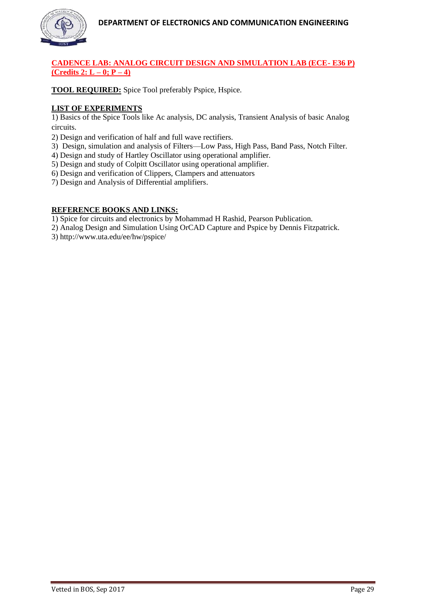

# **CADENCE LAB: ANALOG CIRCUIT DESIGN AND SIMULATION LAB (ECE- E36 P) (Credits 2: L – 0; P – 4)**

**TOOL REQUIRED:** Spice Tool preferably Pspice, Hspice.

# **LIST OF EXPERIMENTS**

1) Basics of the Spice Tools like Ac analysis, DC analysis, Transient Analysis of basic Analog circuits.

2) Design and verification of half and full wave rectifiers.

- 3) Design, simulation and analysis of Filters—Low Pass, High Pass, Band Pass, Notch Filter.
- 4) Design and study of Hartley Oscillator using operational amplifier.
- 5) Design and study of Colpitt Oscillator using operational amplifier.
- 6) Design and verification of Clippers, Clampers and attenuators
- 7) Design and Analysis of Differential amplifiers.

## **REFERENCE BOOKS AND LINKS:**

1) Spice for circuits and electronics by Mohammad H Rashid, Pearson Publication.

2) Analog Design and Simulation Using OrCAD Capture and Pspice by Dennis Fitzpatrick.

3) http://www.uta.edu/ee/hw/pspice/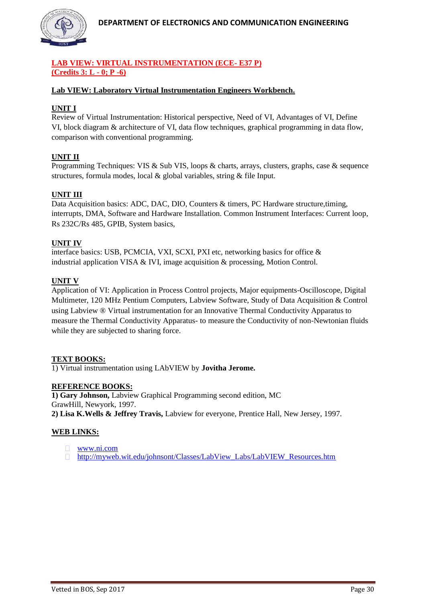

# **LAB VIEW: VIRTUAL INSTRUMENTATION (ECE- E37 P) (Credits 3: L - 0; P -6)**

# **Lab VIEW: Laboratory Virtual Instrumentation Engineers Workbench.**

# **UNIT I**

Review of Virtual Instrumentation: Historical perspective, Need of VI, Advantages of VI, Define VI, block diagram & architecture of VI, data flow techniques, graphical programming in data flow, comparison with conventional programming.

# **UNIT II**

Programming Techniques: VIS & Sub VIS, loops & charts, arrays, clusters, graphs, case & sequence structures, formula modes, local & global variables, string & file Input.

# **UNIT III**

Data Acquisition basics: ADC, DAC, DIO, Counters & timers, PC Hardware structure, timing, interrupts, DMA, Software and Hardware Installation. Common Instrument Interfaces: Current loop, Rs 232C/Rs 485, GPIB, System basics,

## **UNIT IV**

interface basics: USB, PCMCIA, VXI, SCXI, PXI etc, networking basics for office & industrial application VISA & IVI, image acquisition & processing, Motion Control.

## **UNIT V**

Application of VI: Application in Process Control projects, Major equipments-Oscilloscope, Digital Multimeter, 120 MHz Pentium Computers, Labview Software, Study of Data Acquisition & Control using Labview ® Virtual instrumentation for an Innovative Thermal Conductivity Apparatus to measure the Thermal Conductivity Apparatus- to measure the Conductivity of non-Newtonian fluids while they are subjected to sharing force.

# **TEXT BOOKS:**

1) Virtual instrumentation using LAbVIEW by **Jovitha Jerome.**

#### **REFERENCE BOOKS:**

**1) Gary Johnson,** Labview Graphical Programming second edition, MC GrawHill, Newyork, 1997. **2) Lisa K.Wells & Jeffrey Travis,** Labview for everyone, Prentice Hall, New Jersey, 1997.

# **WEB LINKS:**

- **WWW.ni.com**
- □ [http://myweb.wit.edu/johnsont/Classes/LabView\\_Labs/LabVIEW\\_Resources.htm](http://myweb.wit.edu/johnsont/Classes/LabView_Labs/LabVIEW_Resources.htm)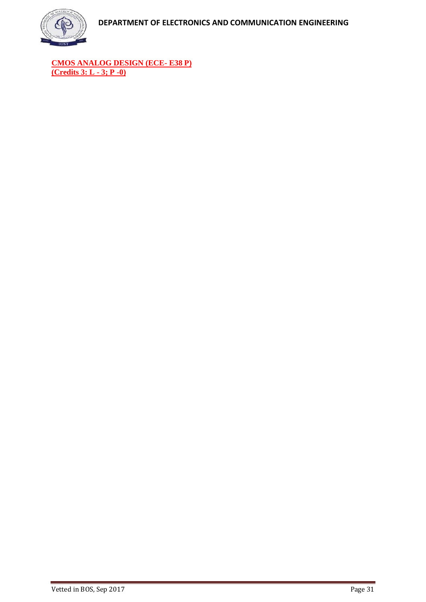

**CMOS ANALOG DESIGN (ECE- E38 P) (Credits 3: L - 3; P -0)**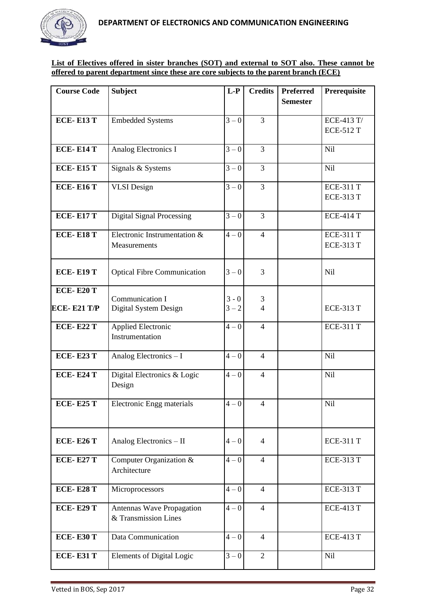

# **List of Electives offered in sister branches (SOT) and external to SOT also. These cannot be offered to parent department since these are core subjects to the parent branch (ECE)**

| <b>Course Code</b>                     | <b>Subject</b>                                    | $L-P$              | <b>Credits</b>      | <b>Preferred</b><br><b>Semester</b> | Prerequisite                         |
|----------------------------------------|---------------------------------------------------|--------------------|---------------------|-------------------------------------|--------------------------------------|
| <b>ECE-E13 T</b>                       | <b>Embedded Systems</b>                           | $3 - 0$            | 3                   |                                     | ECE-413 T/<br><b>ECE-512 T</b>       |
| <b>ECE-E14 T</b>                       | Analog Electronics I                              | $3 - 0$            | 3                   |                                     | <b>Nil</b>                           |
| <b>ECE-E15 T</b>                       | Signals & Systems                                 | $3 - 0$            | 3                   |                                     | Nil                                  |
| <b>ECE-E16 T</b>                       | <b>VLSI</b> Design                                | $3 - 0$            | 3                   |                                     | <b>ECE-311 T</b><br><b>ECE-313 T</b> |
| <b>ECE-E17 T</b>                       | <b>Digital Signal Processing</b>                  | $3 - 0$            | 3                   |                                     | <b>ECE-414 T</b>                     |
| <b>ECE-E18 T</b>                       | Electronic Instrumentation &<br>Measurements      | $4 - 0$            | $\overline{4}$      |                                     | <b>ECE-311 T</b><br><b>ECE-313 T</b> |
| <b>ECE-E19 T</b>                       | <b>Optical Fibre Communication</b>                | $3 - 0$            | 3                   |                                     | <b>Nil</b>                           |
| <b>ECE-E20 T</b><br><b>ECE-E21 T/P</b> | Communication I<br>Digital System Design          | $3 - 0$<br>$3 - 2$ | 3<br>$\overline{4}$ |                                     | <b>ECE-313 T</b>                     |
| <b>ECE-E22 T</b>                       | Applied Electronic<br>Instrumentation             | $4 - 0$            | $\overline{4}$      |                                     | <b>ECE-311 T</b>                     |
| <b>ECE-E23 T</b>                       | Analog Electronics - I                            | $4 - 0$            | $\overline{4}$      |                                     | Nil                                  |
| <b>ECE-E24 T</b>                       | Digital Electronics & Logic<br>Design             | $4 - 0$            | $\overline{4}$      |                                     | Nil                                  |
| <b>ECE-E25 T</b>                       | Electronic Engg materials                         | $4 - 0$            | $\overline{4}$      |                                     | Nil                                  |
| <b>ECE-E26 T</b>                       | Analog Electronics - II                           | $4 - 0$            | $\overline{4}$      |                                     | <b>ECE-311 T</b>                     |
| <b>ECE-E27 T</b>                       | Computer Organization &<br>Architecture           | $4-0$              | $\overline{4}$      |                                     | <b>ECE-313 T</b>                     |
| <b>ECE-E28 T</b>                       | Microprocessors                                   | $4 - 0$            | $\overline{4}$      |                                     | <b>ECE-313 T</b>                     |
| <b>ECE-E29 T</b>                       | Antennas Wave Propagation<br>& Transmission Lines | $4-0$              | $\overline{4}$      |                                     | <b>ECE-413 T</b>                     |
| <b>ECE-E30 T</b>                       | Data Communication                                | $4 - 0$            | $\overline{4}$      |                                     | <b>ECE-413 T</b>                     |
| <b>ECE-E31 T</b>                       | <b>Elements of Digital Logic</b>                  | $3 - 0$            | $\overline{2}$      |                                     | Nil                                  |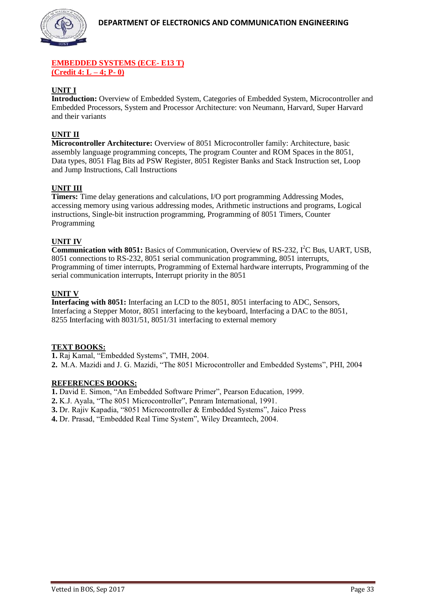

## **EMBEDDED SYSTEMS (ECE- E13 T) (Credit 4: L – 4; P- 0)**

# **UNIT I**

**Introduction:** Overview of Embedded System, Categories of Embedded System, Microcontroller and Embedded Processors, System and Processor Architecture: von Neumann, Harvard, Super Harvard and their variants

# **UNIT II**

**Microcontroller Architecture:** Overview of 8051 Microcontroller family: Architecture, basic assembly language programming concepts, The program Counter and ROM Spaces in the 8051, Data types, 8051 Flag Bits ad PSW Register, 8051 Register Banks and Stack Instruction set, Loop and Jump Instructions, Call Instructions

# **UNIT III**

**Timers:** Time delay generations and calculations, I/O port programming Addressing Modes, accessing memory using various addressing modes, Arithmetic instructions and programs, Logical instructions, Single-bit instruction programming, Programming of 8051 Timers, Counter Programming

# **UNIT IV**

**Communication with 8051:** Basics of Communication, Overview of RS-232, I<sup>2</sup>C Bus, UART, USB, 8051 connections to RS-232, 8051 serial communication programming, 8051 interrupts, Programming of timer interrupts, Programming of External hardware interrupts, Programming of the serial communication interrupts, Interrupt priority in the 8051

## **UNIT V**

**Interfacing with 8051:** Interfacing an LCD to the 8051, 8051 interfacing to ADC, Sensors, Interfacing a Stepper Motor, 8051 interfacing to the keyboard, Interfacing a DAC to the 8051, 8255 Interfacing with 8031/51, 8051/31 interfacing to external memory

#### **TEXT BOOKS:**

**1.** Raj Kamal, "Embedded Systems", TMH, 2004.

**2.** M.A. Mazidi and J. G. Mazidi, "The 8051 Microcontroller and Embedded Systems", PHI, 2004

#### **REFERENCES BOOKS:**

**1.** David E. Simon, "An Embedded Software Primer", Pearson Education, 1999.

**2.** K.J. Ayala, "The 8051 Microcontroller", Penram International, 1991.

**3.** Dr. Rajiv Kapadia, "8051 Microcontroller & Embedded Systems", Jaico Press

**4.** Dr. Prasad, "Embedded Real Time System", Wiley Dreamtech, 2004.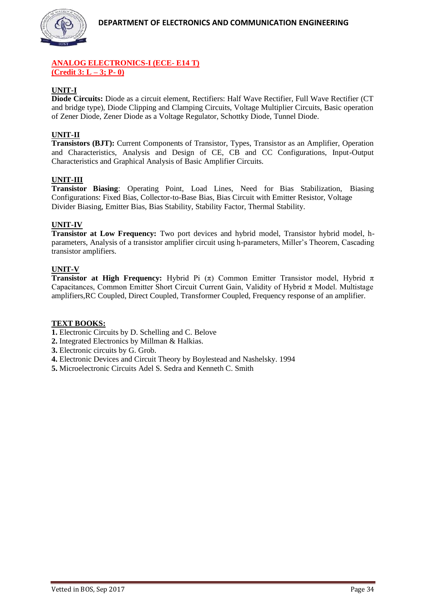

# **ANALOG ELECTRONICS-I (ECE- E14 T) (Credit 3: L – 3; P- 0)**

# **UNIT-I**

**Diode Circuits:** Diode as a circuit element, Rectifiers: Half Wave Rectifier, Full Wave Rectifier (CT and bridge type), Diode Clipping and Clamping Circuits, Voltage Multiplier Circuits, Basic operation of Zener Diode, Zener Diode as a Voltage Regulator, Schottky Diode, Tunnel Diode.

# **UNIT-II**

**Transistors (BJT):** Current Components of Transistor, Types, Transistor as an Amplifier, Operation and Characteristics, Analysis and Design of CE, CB and CC Configurations, Input-Output Characteristics and Graphical Analysis of Basic Amplifier Circuits.

# **UNIT-III**

**Transistor Biasing**: Operating Point, Load Lines, Need for Bias Stabilization, Biasing Configurations: Fixed Bias, Collector-to-Base Bias, Bias Circuit with Emitter Resistor, Voltage Divider Biasing, Emitter Bias, Bias Stability, Stability Factor, Thermal Stability.

# **UNIT-IV**

**Transistor at Low Frequency:** Two port devices and hybrid model, Transistor hybrid model, hparameters, Analysis of a transistor amplifier circuit using h-parameters, Miller's Theorem, Cascading transistor amplifiers.

## **UNIT-V**

**Transistor at High Frequency:** Hybrid Pi (π) Common Emitter Transistor model, Hybrid  $\pi$ Capacitances, Common Emitter Short Circuit Current Gain, Validity of Hybrid  $\pi$  Model. Multistage amplifiers,RC Coupled, Direct Coupled, Transformer Coupled, Frequency response of an amplifier.

# **TEXT BOOKS:**

- **1.** Electronic Circuits by D. Schelling and C. Belove
- **2.** Integrated Electronics by Millman & Halkias.
- **3.** Electronic circuits by G. Grob.
- **4.** Electronic Devices and Circuit Theory by Boylestead and Nashelsky. 1994
- **5.** Microelectronic Circuits Adel S. Sedra and Kenneth C. Smith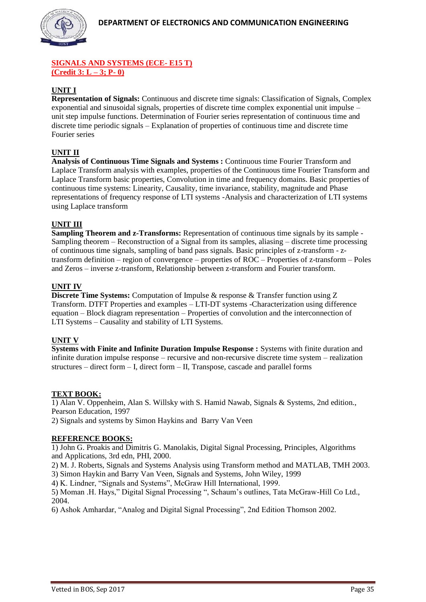

# **SIGNALS AND SYSTEMS (ECE- E15 T) (Credit 3: L – 3; P- 0)**

# **UNIT I**

**Representation of Signals:** Continuous and discrete time signals: Classification of Signals, Complex exponential and sinusoidal signals, properties of discrete time complex exponential unit impulse – unit step impulse functions. Determination of Fourier series representation of continuous time and discrete time periodic signals – Explanation of properties of continuous time and discrete time Fourier series

# **UNIT II**

**Analysis of Continuous Time Signals and Systems :** Continuous time Fourier Transform and Laplace Transform analysis with examples, properties of the Continuous time Fourier Transform and Laplace Transform basic properties, Convolution in time and frequency domains. Basic properties of continuous time systems: Linearity, Causality, time invariance, stability, magnitude and Phase representations of frequency response of LTI systems -Analysis and characterization of LTI systems using Laplace transform

# **UNIT III**

**Sampling Theorem and z-Transforms:** Representation of continuous time signals by its sample - Sampling theorem – Reconstruction of a Signal from its samples, aliasing – discrete time processing of continuous time signals, sampling of band pass signals. Basic principles of z-transform - ztransform definition – region of convergence – properties of ROC – Properties of z-transform – Poles and Zeros – inverse z-transform, Relationship between z-transform and Fourier transform.

# **UNIT IV**

**Discrete Time Systems:** Computation of Impulse & response & Transfer function using Z Transform. DTFT Properties and examples – LTI-DT systems -Characterization using difference equation – Block diagram representation – Properties of convolution and the interconnection of LTI Systems – Causality and stability of LTI Systems.

# **UNIT V**

**Systems with Finite and Infinite Duration Impulse Response :** Systems with finite duration and infinite duration impulse response – recursive and non-recursive discrete time system – realization structures – direct form – I, direct form – II, Transpose, cascade and parallel forms

#### **TEXT BOOK:**

1) Alan V. Oppenheim, Alan S. Willsky with S. Hamid Nawab, Signals & Systems, 2nd edition., Pearson Education, 1997

2) Signals and systems by Simon Haykins and Barry Van Veen

# **REFERENCE BOOKS:**

1) John G. Proakis and Dimitris G. Manolakis, Digital Signal Processing, Principles, Algorithms and Applications, 3rd edn, PHI, 2000.

2) M. J. Roberts, Signals and Systems Analysis using Transform method and MATLAB, TMH 2003.

3) Simon Haykin and Barry Van Veen, Signals and Systems, John Wiley, 1999

4) K. Lindner, "Signals and Systems", McGraw Hill International, 1999.

5) Moman .H. Hays," Digital Signal Processing ", Schaum's outlines, Tata McGraw-Hill Co Ltd., 2004.

6) Ashok Amhardar, "Analog and Digital Signal Processing", 2nd Edition Thomson 2002.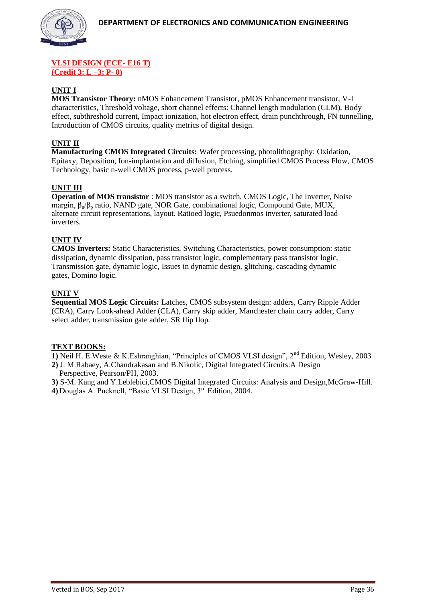#### **VLSI DESIGN (ECE- E16 T) (Credit 3: L –3; P- 0)**

# **UNIT I**

**MOS Transistor Theory:** nMOS Enhancement Transistor, pMOS Enhancement transistor, V-I characteristics, Threshold voltage, short channel effects: Channel length modulation (CLM), Body effect, subthreshold current, Impact ionization, hot electron effect, drain punchthrough, FN tunnelling, Introduction of CMOS circuits, quality metrics of digital design.

## **UNIT II**

**Manufacturing CMOS Integrated Circuits:** Wafer processing, photolithography: Oxidation, Epitaxy, Deposition, Ion-implantation and diffusion, Etching, simplified CMOS Process Flow, CMOS Technology, basic n-well CMOS process, p-well process.

## **UNIT III**

**Operation of MOS transistor** : MOS transistor as a switch, CMOS Logic, The Inverter, Noise margin,  $β_n/β_p$  ratio, NAND gate, NOR Gate, combinational logic, Compound Gate, MUX, alternate circuit representations, layout. Ratioed logic, Psuedonmos inverter, saturated load inverters.

## **UNIT IV**

**CMOS Inverters:** Static Characteristics, Switching Characteristics, power consumption: static dissipation, dynamic dissipation, pass transistor logic, complementary pass transistor logic, Transmission gate, dynamic logic, Issues in dynamic design, glitching, cascading dynamic gates, Domino logic.

#### **UNIT V**

**Sequential MOS Logic Circuits:** Latches, CMOS subsystem design: adders, Carry Ripple Adder (CRA), Carry Look-ahead Adder (CLA), Carry skip adder, Manchester chain carry adder, Carry select adder, transmission gate adder, SR flip flop.

#### **TEXT BOOKS:**

**1)** Neil H. E.Weste & K.Eshranghian, "Principles of CMOS VLSI design", 2nd Edition, Wesley, 2003

**2)** J. M.Rabaey, A.Chandrakasan and B.Nikolic, Digital Integrated Circuits:A Design Perspective, Pearson/PH, 2003.

**3)** S-M. Kang and Y.Leblebici,CMOS Digital Integrated Circuits: Analysis and Design,McGraw-Hill.

**4)** Douglas A. Pucknell, "Basic VLSI Design, 3rd Edition, 2004.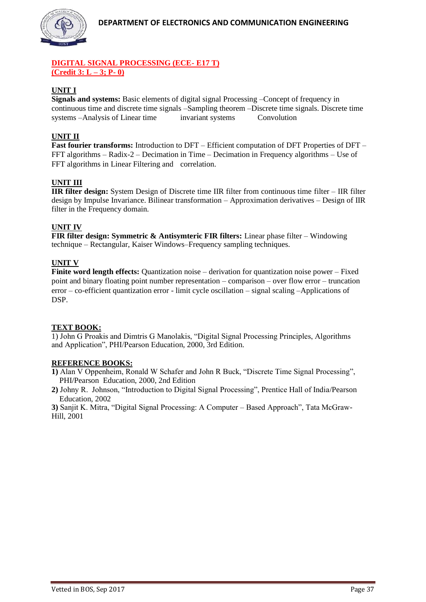

# **DIGITAL SIGNAL PROCESSING (ECE- E17 T) (Credit 3: L – 3; P- 0)**

# **UNIT I**

**Signals and systems:** Basic elements of digital signal Processing –Concept of frequency in continuous time and discrete time signals –Sampling theorem –Discrete time signals. Discrete time systems –Analysis of Linear time invariant systems Convolution

# **UNIT II**

**Fast fourier transforms:** Introduction to DFT – Efficient computation of DFT Properties of DFT – FFT algorithms – Radix-2 – Decimation in Time – Decimation in Frequency algorithms – Use of FFT algorithms in Linear Filtering and correlation.

# **UNIT III**

**IIR filter design:** System Design of Discrete time IIR filter from continuous time filter – IIR filter design by Impulse Invariance. Bilinear transformation – Approximation derivatives – Design of IIR filter in the Frequency domain.

# **UNIT IV**

**FIR filter design: Symmetric & Antisymteric FIR filters:** Linear phase filter – Windowing technique – Rectangular, Kaiser Windows–Frequency sampling techniques.

# **UNIT V**

Finite word length effects: Quantization noise – derivation for quantization noise power – Fixed point and binary floating point number representation – comparison – over flow error – truncation error – co-efficient quantization error - limit cycle oscillation – signal scaling –Applications of DSP.

#### **TEXT BOOK:**

1) John G Proakis and Dimtris G Manolakis, "Digital Signal Processing Principles, Algorithms and Application", PHI/Pearson Education, 2000, 3rd Edition.

#### **REFERENCE BOOKS:**

**1)** Alan V Oppenheim, Ronald W Schafer and John R Buck, "Discrete Time Signal Processing", PHI/Pearson Education, 2000, 2nd Edition

**2)** Johny R. Johnson, "Introduction to Digital Signal Processing", Prentice Hall of India/Pearson Education, 2002

**3)** Sanjit K. Mitra, "Digital Signal Processing: A Computer – Based Approach", Tata McGraw-Hill, 2001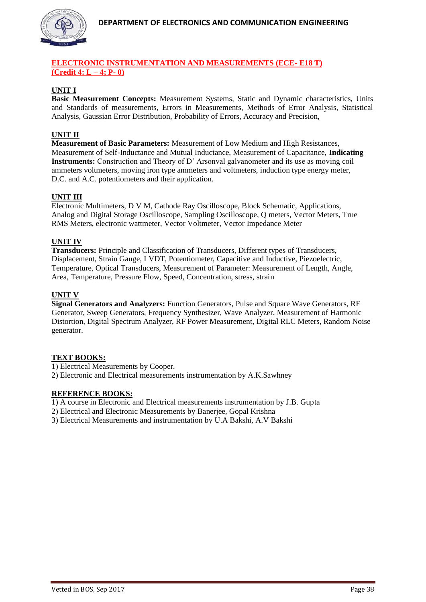

# **ELECTRONIC INSTRUMENTATION AND MEASUREMENTS (ECE- E18 T) (Credit 4: L – 4; P- 0)**

# **UNIT I**

**Basic Measurement Concepts:** Measurement Systems, Static and Dynamic characteristics, Units and Standards of measurements, Errors in Measurements, Methods of Error Analysis, Statistical Analysis, Gaussian Error Distribution, Probability of Errors, Accuracy and Precision,

# **UNIT II**

**Measurement of Basic Parameters:** Measurement of Low Medium and High Resistances, Measurement of Self-Inductance and Mutual Inductance, Measurement of Capacitance, **Indicating Instruments:** Construction and Theory of D' Arsonval galvanometer and its use as moving coil ammeters voltmeters, moving iron type ammeters and voltmeters, induction type energy meter, D.C. and A.C. potentiometers and their application.

## **UNIT III**

Electronic Multimeters, D V M, Cathode Ray Oscilloscope, Block Schematic, Applications, Analog and Digital Storage Oscilloscope, Sampling Oscilloscope, Q meters, Vector Meters, True RMS Meters, electronic wattmeter, Vector Voltmeter, Vector Impedance Meter

## **UNIT IV**

**Transducers:** Principle and Classification of Transducers, Different types of Transducers, Displacement, Strain Gauge, LVDT, Potentiometer, Capacitive and Inductive, Piezoelectric, Temperature, Optical Transducers, Measurement of Parameter: Measurement of Length, Angle, Area, Temperature, Pressure Flow, Speed, Concentration, stress, strain

## **UNIT V**

**Signal Generators and Analyzers:** Function Generators, Pulse and Square Wave Generators, RF Generator, Sweep Generators, Frequency Synthesizer, Wave Analyzer, Measurement of Harmonic Distortion, Digital Spectrum Analyzer, RF Power Measurement, Digital RLC Meters, Random Noise generator.

#### **TEXT BOOKS:**

1) Electrical Measurements by Cooper.

2) Electronic and Electrical measurements instrumentation by A.K.Sawhney

## **REFERENCE BOOKS:**

1) A course in Electronic and Electrical measurements instrumentation by J.B. Gupta

2) Electrical and Electronic Measurements by Banerjee, Gopal Krishna

3) Electrical Measurements and instrumentation by U.A Bakshi, A.V Bakshi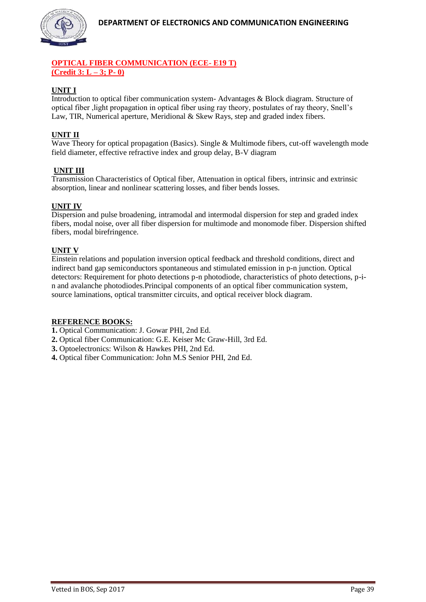

# **OPTICAL FIBER COMMUNICATION (ECE- E19 T) (Credit 3: L – 3; P- 0)**

# **UNIT I**

Introduction to optical fiber communication system- Advantages & Block diagram. Structure of optical fiber ,light propagation in optical fiber using ray theory, postulates of ray theory, Snell's Law, TIR, Numerical aperture, Meridional & Skew Rays, step and graded index fibers.

# **UNIT II**

Wave Theory for optical propagation (Basics). Single & Multimode fibers, cut-off wavelength mode field diameter, effective refractive index and group delay, B-V diagram

# **UNIT III**

Transmission Characteristics of Optical fiber, Attenuation in optical fibers, intrinsic and extrinsic absorption, linear and nonlinear scattering losses, and fiber bends losses.

# **UNIT IV**

Dispersion and pulse broadening, intramodal and intermodal dispersion for step and graded index fibers, modal noise, over all fiber dispersion for multimode and monomode fiber. Dispersion shifted fibers, modal birefringence.

# **UNIT V**

Einstein relations and population inversion optical feedback and threshold conditions, direct and indirect band gap semiconductors spontaneous and stimulated emission in p-n junction. Optical detectors: Requirement for photo detections p-n photodiode, characteristics of photo detections, p-in and avalanche photodiodes.Principal components of an optical fiber communication system, source laminations, optical transmitter circuits, and optical receiver block diagram.

#### **REFERENCE BOOKS:**

**1.** Optical Communication: J. Gowar PHI, 2nd Ed.

- **2.** Optical fiber Communication: G.E. Keiser Mc Graw-Hill, 3rd Ed.
- **3.** Optoelectronics: Wilson & Hawkes PHI, 2nd Ed.
- **4.** Optical fiber Communication: John M.S Senior PHI, 2nd Ed.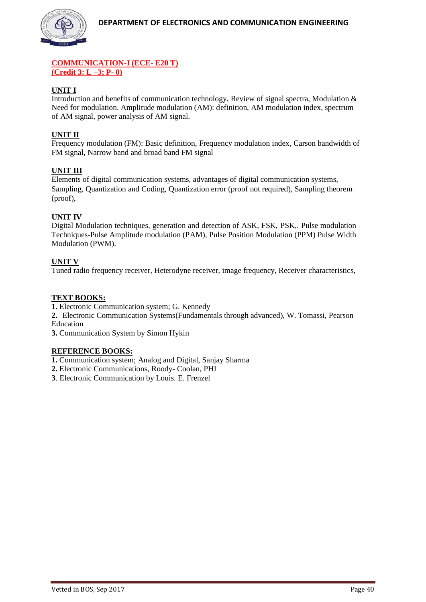

# **COMMUNICATION-I (ECE- E20 T) (Credit 3: L –3; P- 0)**

# **UNIT I**

Introduction and benefits of communication technology, Review of signal spectra, Modulation  $\&$ Need for modulation. Amplitude modulation (AM): definition, AM modulation index, spectrum of AM signal, power analysis of AM signal.

# **UNIT II**

Frequency modulation (FM): Basic definition, Frequency modulation index, Carson bandwidth of FM signal, Narrow band and broad band FM signal

# **UNIT III**

Elements of digital communication systems, advantages of digital communication systems, Sampling, Quantization and Coding, Quantization error (proof not required), Sampling theorem (proof),

# **UNIT IV**

Digital Modulation techniques, generation and detection of ASK, FSK, PSK,. Pulse modulation Techniques-Pulse Amplitude modulation (PAM), Pulse Position Modulation (PPM) Pulse Width Modulation (PWM).

# **UNIT V**

Tuned radio frequency receiver, Heterodyne receiver, image frequency, Receiver characteristics,

# **TEXT BOOKS:**

**1.** Electronic Communication system; G. Kennedy

**2.** Electronic Communication Systems(Fundamentals through advanced), W. Tomassi, Pearson Education

**3.** Communication System by Simon Hykin

# **REFERENCE BOOKS:**

- **1.** Communication system; Analog and Digital, Sanjay Sharma
- **2.** Electronic Communications, Roody- Coolan, PHI
- **3**. Electronic Communication by Louis. E. Frenzel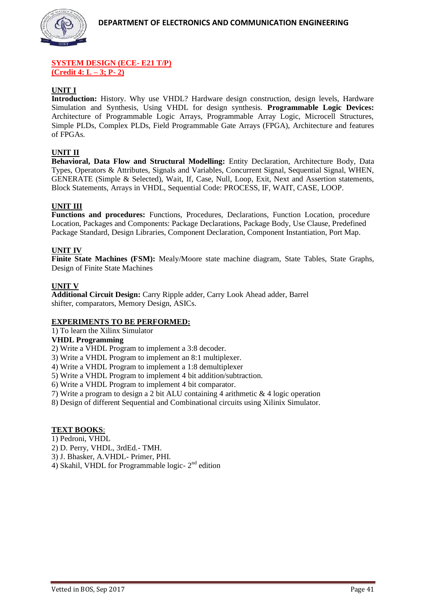

## **SYSTEM DESIGN (ECE- E21 T/P) (Credit 4: L – 3; P- 2)**

# **UNIT I**

**Introduction:** History. Why use VHDL? Hardware design construction, design levels, Hardware Simulation and Synthesis, Using VHDL for design synthesis. **Programmable Logic Devices:** Architecture of Programmable Logic Arrays, Programmable Array Logic, Microcell Structures, Simple PLDs, Complex PLDs, Field Programmable Gate Arrays (FPGA), Architecture and features of FPGAs.

## **UNIT II**

**Behavioral, Data Flow and Structural Modelling:** Entity Declaration, Architecture Body, Data Types, Operators & Attributes, Signals and Variables, Concurrent Signal, Sequential Signal, WHEN, GENERATE (Simple & Selected), Wait, If, Case, Null, Loop, Exit, Next and Assertion statements, Block Statements, Arrays in VHDL, Sequential Code: PROCESS, IF, WAIT, CASE, LOOP.

## **UNIT III**

**Functions and procedures:** Functions, Procedures, Declarations, Function Location, procedure Location, Packages and Components: Package Declarations, Package Body, Use Clause, Predefined Package Standard, Design Libraries, Component Declaration, Component Instantiation, Port Map.

## **UNIT IV**

**Finite State Machines (FSM):** Mealy/Moore state machine diagram, State Tables, State Graphs, Design of Finite State Machines

#### **UNIT V**

**Additional Circuit Design:** Carry Ripple adder, Carry Look Ahead adder, Barrel shifter, comparators, Memory Design, ASICs.

#### **EXPERIMENTS TO BE PERFORMED:**

1) To learn the Xilinx Simulator

#### **VHDL Programming**

2) Write a VHDL Program to implement a 3:8 decoder.

3) Write a VHDL Program to implement an 8:1 multiplexer.

4) Write a VHDL Program to implement a 1:8 demultiplexer

5) Write a VHDL Program to implement 4 bit addition/subtraction.

6) Write a VHDL Program to implement 4 bit comparator.

7) Write a program to design a 2 bit ALU containing 4 arithmetic & 4 logic operation

8) Design of different Sequential and Combinational circuits using Xilinix Simulator.

#### **TEXT BOOKS**:

1) Pedroni, VHDL

- 2) D. Perry, VHDL, 3rdEd.- TMH.
- 3) J. Bhasker, A.VHDL- Primer, PHI.
- 4) Skahil, VHDL for Programmable logic- $2<sup>nd</sup>$  edition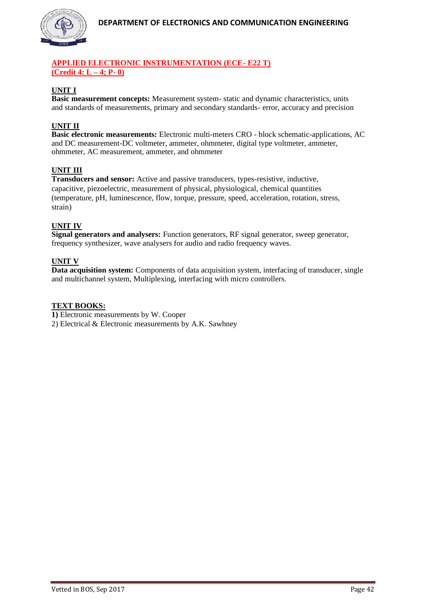

# **APPLIED ELECTRONIC INSTRUMENTATION (ECE- E22 T) (Credit 4: L – 4; P- 0)**

# **UNIT I**

**Basic measurement concepts:** Measurement system- static and dynamic characteristics, units and standards of measurements, primary and secondary standards- error, accuracy and precision

# **UNIT II**

**Basic electronic measurements:** Electronic multi-meters CRO - block schematic-applications, AC and DC measurement-DC voltmeter, ammeter, ohmmeter, digital type voltmeter, ammeter, ohmmeter, AC measurement, ammeter, and ohmmeter

# **UNIT III**

**Transducers and sensor:** Active and passive transducers, types-resistive, inductive, capacitive, piezoelectric, measurement of physical, physiological, chemical quantities (temperature, pH, luminescence, flow, torque, pressure, speed, acceleration, rotation, stress, strain)

# **UNIT IV**

**Signal generators and analysers:** Function generators, RF signal generator, sweep generator, frequency synthesizer, wave analysers for audio and radio frequency waves.

## **UNIT V**

**Data acquisition system:** Components of data acquisition system, interfacing of transducer, single and multichannel system, Multiplexing, interfacing with micro controllers.

#### **TEXT BOOKS:**

**1)** Electronic measurements by W. Cooper

2) Electrical & Electronic measurements by A.K. Sawhney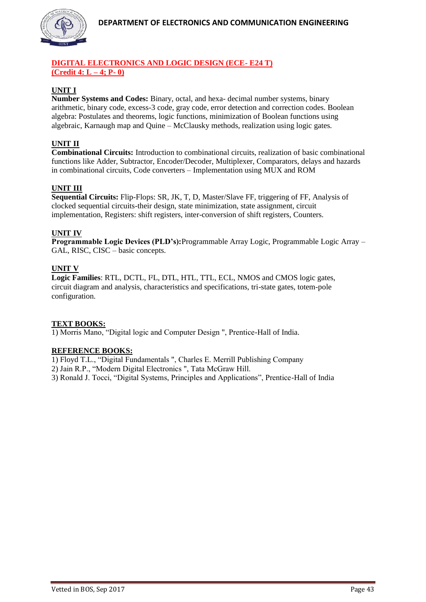

# **DIGITAL ELECTRONICS AND LOGIC DESIGN (ECE- E24 T) (Credit 4: L – 4; P- 0)**

# **UNIT I**

**Number Systems and Codes:** Binary, octal, and hexa- decimal number systems, binary arithmetic, binary code, excess-3 code, gray code, error detection and correction codes. Boolean algebra: Postulates and theorems, logic functions, minimization of Boolean functions using algebraic, Karnaugh map and Quine – McClausky methods, realization using logic gates.

# **UNIT II**

**Combinational Circuits:** Introduction to combinational circuits, realization of basic combinational functions like Adder, Subtractor, Encoder/Decoder, Multiplexer, Comparators, delays and hazards in combinational circuits, Code converters – Implementation using MUX and ROM

# **UNIT III**

**Sequential Circuits:** Flip-Flops: SR, JK, T, D, Master/Slave FF, triggering of FF, Analysis of clocked sequential circuits-their design, state minimization, state assignment, circuit implementation, Registers: shift registers, inter-conversion of shift registers, Counters.

## **UNIT IV**

**Programmable Logic Devices (PLD's):**Programmable Array Logic, Programmable Logic Array – GAL, RISC, CISC – basic concepts.

## **UNIT V**

**Logic Families**: RTL, DCTL, I²L, DTL, HTL, TTL, ECL, NMOS and CMOS logic gates, circuit diagram and analysis, characteristics and specifications, tri-state gates, totem-pole configuration.

# **TEXT BOOKS:**

1) Morris Mano, "Digital logic and Computer Design ", Prentice-Hall of India.

#### **REFERENCE BOOKS:**

1) Floyd T.L., "Digital Fundamentals ", Charles E. Merrill Publishing Company

2) Jain R.P., "Modern Digital Electronics ", Tata McGraw Hill.

3) Ronald J. Tocci, "Digital Systems, Principles and Applications", Prentice-Hall of India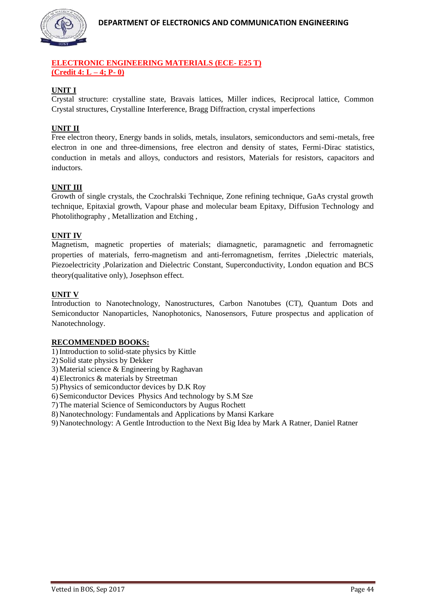

# **ELECTRONIC ENGINEERING MATERIALS (ECE- E25 T) (Credit 4: L – 4; P- 0)**

# **UNIT I**

Crystal structure: crystalline state, Bravais lattices, Miller indices, Reciprocal lattice, Common Crystal structures, Crystalline Interference, Bragg Diffraction, crystal imperfections

# **UNIT II**

Free electron theory, Energy bands in solids, metals, insulators, semiconductors and semi-metals, free electron in one and three-dimensions, free electron and density of states, Fermi-Dirac statistics, conduction in metals and alloys, conductors and resistors, Materials for resistors, capacitors and inductors.

# **UNIT III**

Growth of single crystals, the Czochralski Technique, Zone refining technique, GaAs crystal growth technique, Epitaxial growth, Vapour phase and molecular beam Epitaxy, Diffusion Technology and Photolithography , Metallization and Etching ,

## **UNIT IV**

Magnetism, magnetic properties of materials; diamagnetic, paramagnetic and ferromagnetic properties of materials, ferro-magnetism and anti-ferromagnetism, ferrites ,Dielectric materials, Piezoelectricity ,Polarization and Dielectric Constant, Superconductivity, London equation and BCS theory(qualitative only), Josephson effect.

## **UNIT V**

Introduction to Nanotechnology, Nanostructures, Carbon Nanotubes (CT), Quantum Dots and Semiconductor Nanoparticles, Nanophotonics, Nanosensors, Future prospectus and application of Nanotechnology.

#### **RECOMMENDED BOOKS:**

- 1)Introduction to solid-state physics by Kittle
- 2) Solid state physics by Dekker
- 3) Material science & Engineering by Raghavan
- 4) Electronics & materials by Streetman
- 5) Physics of semiconductor devices by D.K Roy
- 6) Semiconductor Devices Physics And technology by S.M Sze
- 7) The material Science of Semiconductors by Augus Rochett
- 8) Nanotechnology: Fundamentals and Applications by Mansi Karkare
- 9) Nanotechnology: A Gentle Introduction to the Next Big Idea by Mark A Ratner, Daniel Ratner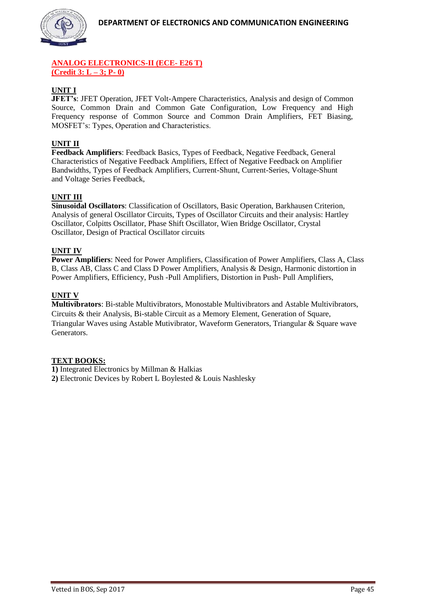

# **ANALOG ELECTRONICS-II (ECE- E26 T) (Credit 3: L – 3; P- 0)**

# **UNIT I**

**JFET's**: JFET Operation, JFET Volt-Ampere Characteristics, Analysis and design of Common Source, Common Drain and Common Gate Configuration, Low Frequency and High Frequency response of Common Source and Common Drain Amplifiers, FET Biasing, MOSFET's: Types, Operation and Characteristics.

# **UNIT II**

**Feedback Amplifiers**: Feedback Basics, Types of Feedback, Negative Feedback, General Characteristics of Negative Feedback Amplifiers, Effect of Negative Feedback on Amplifier Bandwidths, Types of Feedback Amplifiers, Current-Shunt, Current-Series, Voltage-Shunt and Voltage Series Feedback,

# **UNIT III**

**Sinusoidal Oscillators**: Classification of Oscillators, Basic Operation, Barkhausen Criterion, Analysis of general Oscillator Circuits, Types of Oscillator Circuits and their analysis: Hartley Oscillator, Colpitts Oscillator, Phase Shift Oscillator, Wien Bridge Oscillator, Crystal Oscillator, Design of Practical Oscillator circuits

# **UNIT IV**

**Power Amplifiers**: Need for Power Amplifiers, Classification of Power Amplifiers, Class A, Class B, Class AB, Class C and Class D Power Amplifiers, Analysis & Design, Harmonic distortion in Power Amplifiers, Efficiency, Push -Pull Amplifiers, Distortion in Push- Pull Amplifiers,

# **UNIT V**

**Multivibrators**: Bi-stable Multivibrators, Monostable Multivibrators and Astable Multivibrators, Circuits & their Analysis, Bi-stable Circuit as a Memory Element, Generation of Square, Triangular Waves using Astable Mutivibrator, Waveform Generators, Triangular & Square wave Generators.

# **TEXT BOOKS:**

**1)** Integrated Electronics by Millman & Halkias **2)** Electronic Devices by Robert L Boylested & Louis Nashlesky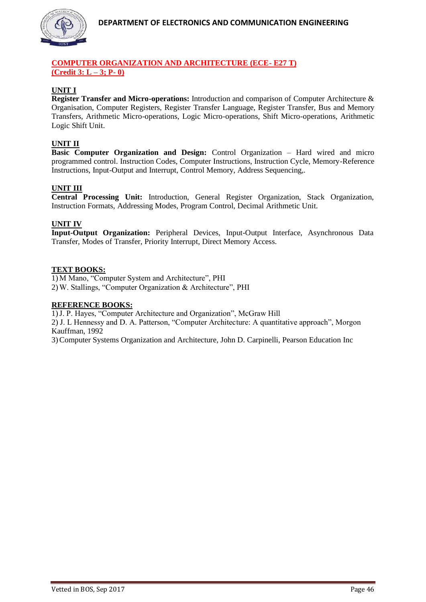

# **COMPUTER ORGANIZATION AND ARCHITECTURE (ECE- E27 T) (Credit 3: L – 3; P- 0)**

# **UNIT I**

**Register Transfer and Micro-operations:** Introduction and comparison of Computer Architecture & Organisation, Computer Registers, Register Transfer Language, Register Transfer, Bus and Memory Transfers, Arithmetic Micro-operations, Logic Micro-operations, Shift Micro-operations, Arithmetic Logic Shift Unit.

# **UNIT II**

**Basic Computer Organization and Design:** Control Organization – Hard wired and micro programmed control. Instruction Codes, Computer Instructions, Instruction Cycle, Memory-Reference Instructions, Input-Output and Interrupt, Control Memory, Address Sequencing,.

# **UNIT III**

**Central Processing Unit:** Introduction, General Register Organization, Stack Organization, Instruction Formats, Addressing Modes, Program Control, Decimal Arithmetic Unit.

## **UNIT IV**

**Input-Output Organization:** Peripheral Devices, Input-Output Interface, Asynchronous Data Transfer, Modes of Transfer, Priority Interrupt, Direct Memory Access.

## **TEXT BOOKS:**

1) M Mano, "Computer System and Architecture", PHI 2) W. Stallings, "Computer Organization & Architecture", PHI

#### **REFERENCE BOOKS:**

1)J. P. Hayes, "Computer Architecture and Organization", McGraw Hill

2) J. L Hennessy and D. A. Patterson, "Computer Architecture: A quantitative approach", Morgon Kauffman, 1992

3)Computer Systems Organization and Architecture, John D. Carpinelli, Pearson Education Inc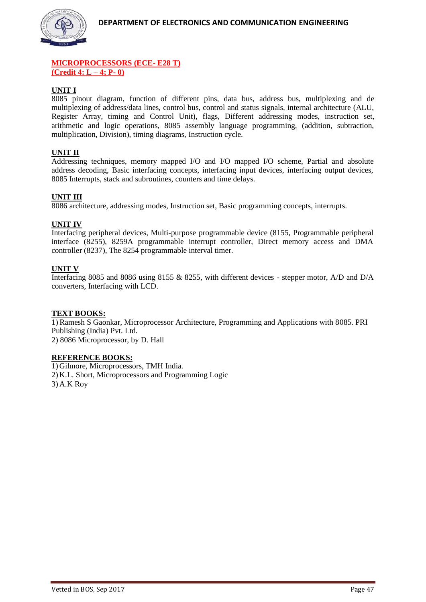

#### **MICROPROCESSORS (ECE- E28 T) (Credit 4: L – 4; P- 0)**

## **UNIT I**

8085 pinout diagram, function of different pins, data bus, address bus, multiplexing and de multiplexing of address/data lines, control bus, control and status signals, internal architecture (ALU, Register Array, timing and Control Unit), flags, Different addressing modes, instruction set, arithmetic and logic operations, 8085 assembly language programming, (addition, subtraction, multiplication, Division), timing diagrams, Instruction cycle.

## **UNIT II**

Addressing techniques, memory mapped I/O and I/O mapped I/O scheme, Partial and absolute address decoding, Basic interfacing concepts, interfacing input devices, interfacing output devices, 8085 Interrupts, stack and subroutines, counters and time delays.

## **UNIT III**

8086 architecture, addressing modes, Instruction set, Basic programming concepts, interrupts.

#### **UNIT IV**

Interfacing peripheral devices, Multi-purpose programmable device (8155, Programmable peripheral interface (8255), 8259A programmable interrupt controller, Direct memory access and DMA controller (8237), The 8254 programmable interval timer.

## **UNIT V**

Interfacing 8085 and 8086 using 8155 & 8255, with different devices - stepper motor, A/D and D/A converters, Interfacing with LCD.

#### **TEXT BOOKS:**

1) Ramesh S Gaonkar, Microprocessor Architecture, Programming and Applications with 8085. PRI Publishing (India) Pvt. Ltd. 2) 8086 Microprocessor, by D. Hall

#### **REFERENCE BOOKS:**

1) Gilmore, Microprocessors, TMH India. 2) K.L. Short, Microprocessors and Programming Logic 3) A.K Roy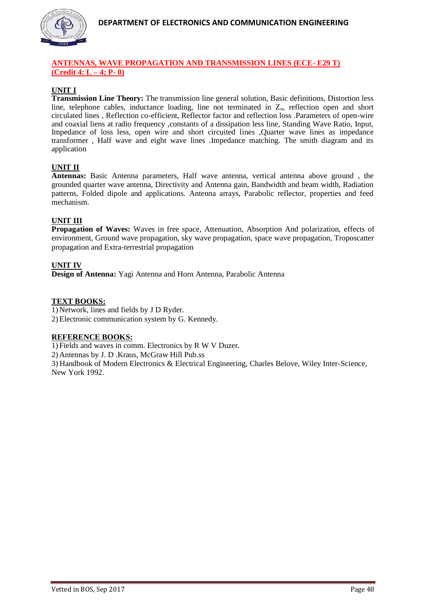

# **ANTENNAS, WAVE PROPAGATION AND TRANSMISSION LINES (ECE- E29 T) (Credit 4: L – 4; P- 0)**

# **UNIT I**

**Transmission Line Theory:** The transmission line general solution, Basic definitions, Distortion less line, telephone cables, inductance loading, line not terminated in  $Z_0$ , reflection open and short circulated lines , Reflection co-efficient, Reflector factor and reflection loss .Parameters of open-wire and coaxial liens at radio frequency ,constants of a dissipation less line, Standing Wave Ratio, Input, Impedance of loss less, open wire and short circuited lines ,Quarter wave lines as impedance transformer , Half wave and eight wave lines .Impedance matching. The smith diagram and its application

# **UNIT II**

**Antennas:** Basic Antenna parameters, Half wave antenna, vertical antenna above ground , the grounded quarter wave antenna, Directivity and Antenna gain, Bandwidth and beam width, Radiation patterns, Folded dipole and applications. Antenna arrays, Parabolic reflector, properties and feed mechanism.

# **UNIT III**

**Propagation of Waves:** Waves in free space, Attenuation, Absorption And polarization, effects of environment, Ground wave propagation, sky wave propagation, space wave propagation, Troposcatter propagation and Extra-terrestrial propagation

# **UNIT IV**

**Design of Antenna:** Yagi Antenna and Horn Antenna, Parabolic Antenna

# **TEXT BOOKS:**

1) Network, lines and fields by J D Ryder. 2) Electronic communication system by G. Kennedy.

#### **REFERENCE BOOKS:**

1) Fields and waves in comm. Electronics by R W V Duzer.

2) Antennas by J. D .Kraus, McGraw Hill Pub.ss

3) Handbook of Modern Electronics & Electrical Engineering, Charles Belove, Wiley Inter-Science, New York 1992.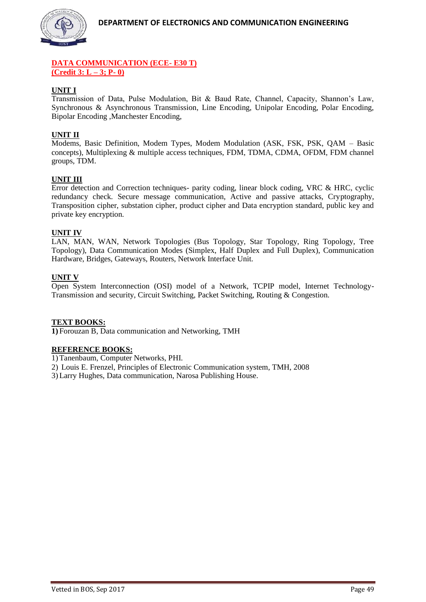

## **DATA COMMUNICATION (ECE- E30 T) (Credit 3: L – 3; P- 0)**

# **UNIT I**

Transmission of Data, Pulse Modulation, Bit & Baud Rate, Channel, Capacity, Shannon's Law, Synchronous & Asynchronous Transmission, Line Encoding, Unipolar Encoding, Polar Encoding, Bipolar Encoding ,Manchester Encoding,

# **UNIT II**

Modems, Basic Definition, Modem Types, Modem Modulation (ASK, FSK, PSK, QAM – Basic concepts), Multiplexing & multiple access techniques, FDM, TDMA, CDMA, OFDM, FDM channel groups, TDM.

## **UNIT III**

Error detection and Correction techniques- parity coding, linear block coding, VRC & HRC, cyclic redundancy check. Secure message communication, Active and passive attacks, Cryptography, Transposition cipher, substation cipher, product cipher and Data encryption standard, public key and private key encryption.

## **UNIT IV**

LAN, MAN, WAN, Network Topologies (Bus Topology, Star Topology, Ring Topology, Tree Topology), Data Communication Modes (Simplex, Half Duplex and Full Duplex), Communication Hardware, Bridges, Gateways, Routers, Network Interface Unit.

#### **UNIT V**

Open System Interconnection (OSI) model of a Network, TCPIP model, Internet Technology-Transmission and security, Circuit Switching, Packet Switching, Routing & Congestion.

#### **TEXT BOOKS:**

**1)** Forouzan B, Data communication and Networking, TMH

#### **REFERENCE BOOKS:**

1) Tanenbaum, Computer Networks, PHI.

2) Louis E. Frenzel, Principles of Electronic Communication system, TMH, 2008

3) Larry Hughes, Data communication, Narosa Publishing House.